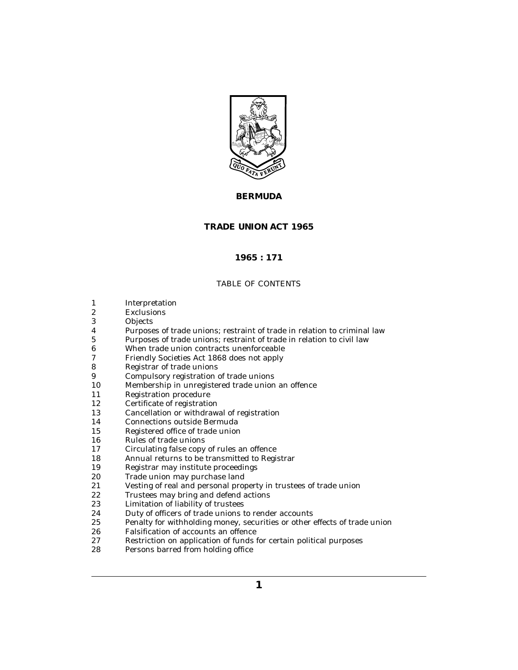

# **BERMUDA**

# **TRADE UNION ACT 1965**

# **1965 : 171**

# TABLE OF CONTENTS

- [Interpretation](#page-2-0) 1
- **[Exclusions](#page-4-0)** 2
- **[Objects](#page-4-0)** 3
- [Purposes of trade unions; restraint of trade in relation to criminal law](#page-4-0) 4
- [Purposes of trade unions; restraint of trade in relation to civil law](#page-4-0) 5
- [When trade union contracts unenforceable](#page-4-0) 6
- [Friendly Societies Act 1868 does not apply](#page-5-0) 7
- [Registrar of trade unions](#page-5-0) 8
- [Compulsory registration of trade unions](#page-5-0) 9
- [Membership in unregistered trade union an offence](#page-6-0) 10
- [Registration procedure](#page-6-0) 11
- [Certificate of registration](#page-7-0) 12
- [Cancellation or withdrawal of registration](#page-7-0) 13
- [Connections outside Bermuda](#page-8-0) 14
- [Registered office of trade union](#page-8-0) 15
- [Rules of trade unions](#page-9-0) 16
- [Circulating false copy of rules an offence](#page-10-0) 17
- [Annual returns to be transmitted to Registrar](#page-10-0) 18
- [Registrar may institute proceedings](#page-11-0) 19
- [Trade union may purchase land](#page-11-0) 20
- [Vesting of real and personal property in trustees of trade union](#page-11-0) 21
- [Trustees may bring and defend actions](#page-12-0) 22
- [Limitation of liability of trustees](#page-12-0) 23
- [Duty of officers of trade unions to render accounts](#page-12-0) 24
- [Penalty for withholding money, securities or other effects of trade union](#page-13-0) 25
- [Falsification of accounts an offence](#page-13-0) 26
- [Restriction on application of funds for certain political purposes](#page-13-0) 27
- [Persons barred from holding office](#page-14-0) 28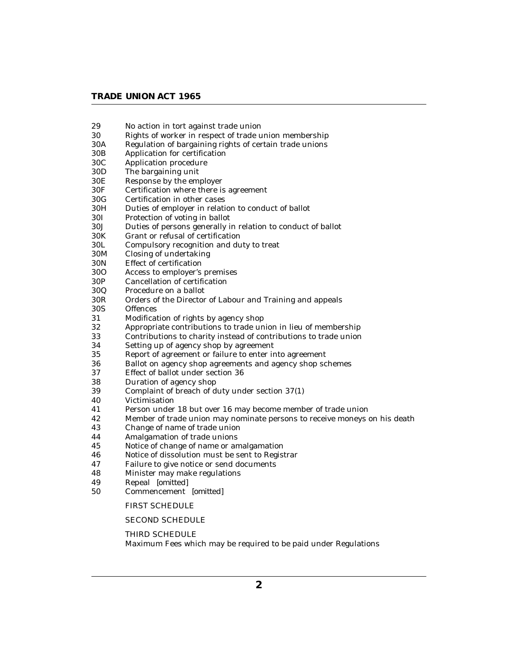# **TRADE UNION ACT 1965**

- [No action in tort against trade union](#page-14-0) 29
- [Rights of worker in respect of trade union membership](#page-14-0) 30
- [Regulation of bargaining rights of certain trade unions](#page-16-0) 30A
- [Application for certification](#page-16-0) 30B
- [Application procedure](#page-17-0) 30C
- [The bargaining unit](#page-17-0) 30D
- [Response by the employer](#page-18-0) 30E
- [Certification where there is agreement](#page-18-0) 30F
- [Certification in other cases](#page-19-0) 30G
- [Duties of employer in relation to conduct of ballot](#page-19-0) 30H
- [Protection of voting in ballot](#page-20-0) 30I
- [Duties of persons generally in relation to conduct of ballot](#page-20-0) 30J
- [Grant or refusal of certification](#page-20-0) 30K
- [Compulsory recognition and duty to treat](#page-21-0) 30L
- [Closing of undertaking](#page-21-0) 30M
- [Effect of certification](#page-21-0) 30N
- [Access to employer's premises](#page-22-0) 30O
- [Cancellation of certification](#page-22-0) 30P
- [Procedure on a ballot](#page-23-0) 30Q
- [Orders of the Director of Labour and Training and appeals](#page-23-0) 30R
- **[Offences](#page-24-0)** 30S
- [Modification of rights by agency shop](#page-24-0) 31
- [Appropriate contributions to trade union in lieu of membership](#page-25-0) 32
- [Contributions to charity instead of contributions to trade union](#page-26-0) 33
- [Setting up of agency shop by agreement](#page-26-0) 34
- [Report of agreement or failure to enter into agreement](#page-27-0) 35
- [Ballot on agency shop agreements and agency shop schemes](#page-27-0) 36
- [Effect of ballot under section 36](#page-28-0) 37
- [Duration of agency shop](#page-29-0) 38
- [Complaint of breach of duty under section 37\(1\)](#page-30-0) 39
- [Victimisation](#page-30-0) 40
- [Person under 18 but over 16 may become member of trade union](#page-31-0) 41
- [Member of trade union may nominate persons to receive moneys on his death](#page-31-0) 42
- [Change of name of trade union](#page-31-0) 43
- [Amalgamation of trade unions](#page-31-0) 44
- [Notice of change of name or amalgamation](#page-32-0) 45
- [Notice of dissolution must be sent to Registrar](#page-32-0) 46
- [Failure to give notice or send documents](#page-32-0) 47
- [Minister may make regulations](#page-32-0) 48
- Repeal *[\[omitted\]](#page-33-0)* 49
- [Commencement](#page-33-0) *[omitted]* 50

# [FIRST SCHEDULE](#page-34-0)

### [SECOND SCHEDULE](#page-35-0)

#### THIRD SCHEDULE

[Maximum Fees which may be required to be paid under Regulations](#page-36-0)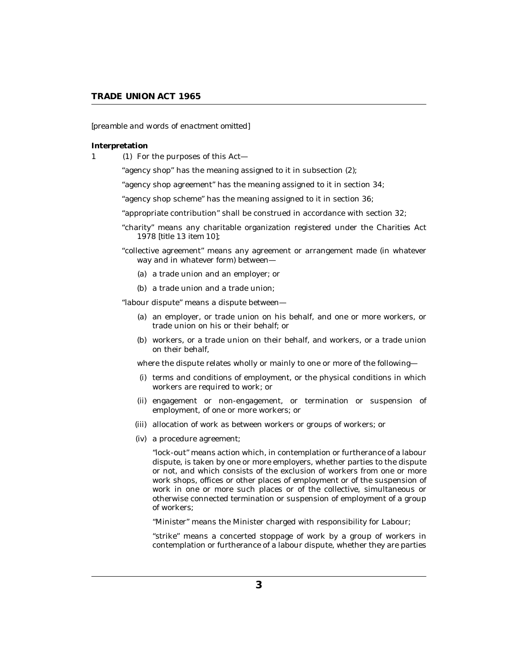## <span id="page-2-0"></span>*[preamble and words of enactment omitted]*

#### **Interpretation**

1 (1) For the purposes of this Act—

"agency shop" has the meaning assigned to it in subsection (2);

"agency shop agreement" has the meaning assigned to it in section 34;

"agency shop scheme" has the meaning assigned to it in section 36;

"appropriate contribution" shall be construed in accordance with section 32;

- "charity" means any charitable organization registered under the Charities Act 1978 [*title 13 item 10*];
- "collective agreement" means any agreement or arrangement made (in whatever way and in whatever form) between—
	- (a) a trade union and an employer; or
	- (b) a trade union and a trade union;

"labour dispute" means a dispute between—

- (a) an employer, or trade union on his behalf, and one or more workers, or trade union on his or their behalf; or
- workers, or a trade union on their behalf, and workers, or a trade union (b) on their behalf,

where the dispute relates wholly or mainly to one or more of the following—

- (i) terms and conditions of employment, or the physical conditions in which workers are required to work; or
- (ii) engagement or non-engagement, or termination or suspension of employment, of one or more workers; or
- (iii) allocation of work as between workers or groups of workers; or
- a procedure agreement; (iv)

"lock-out" means action which, in contemplation or furtherance of a labour dispute, is taken by one or more employers, whether parties to the dispute or not, and which consists of the exclusion of workers from one or more work shops, offices or other places of employment or of the suspension of work in one or more such places or of the collective, simultaneous or otherwise connected termination or suspension of employment of a group of workers;

"Minister" means the Minister charged with responsibility for Labour;

"strike" means a concerted stoppage of work by a group of workers in contemplation or furtherance of a labour dispute, whether they are parties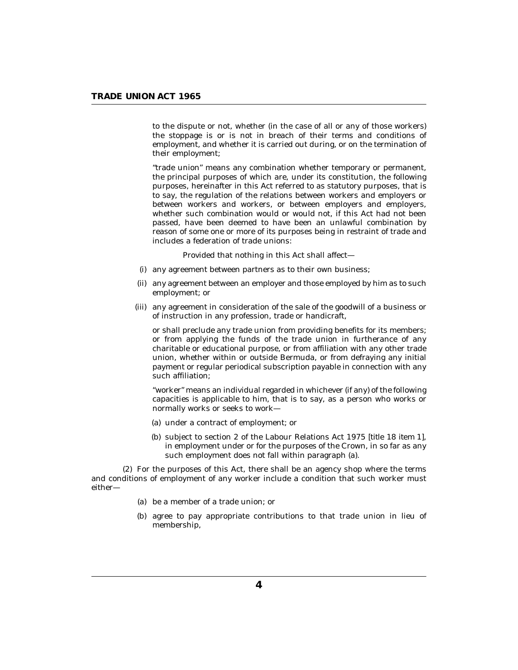to the dispute or not, whether (in the case of all or any of those workers) the stoppage is or is not in breach of their terms and conditions of employment, and whether it is carried out during, or on the termination of their employment;

"trade union" means any combination whether temporary or permanent, the principal purposes of which are, under its constitution, the following purposes, hereinafter in this Act referred to as statutory purposes, that is to say, the regulation of the relations between workers and employers or between workers and workers, or between employers and employers, whether such combination would or would not, if this Act had not been passed, have been deemed to have been an unlawful combination by reason of some one or more of its purposes being in restraint of trade and includes a federation of trade unions:

Provided that nothing in this Act shall affect—

- (i) any agreement between partners as to their own business;
- (ii) any agreement between an employer and those employed by him as to such employment; or
- (iii) any agreement in consideration of the sale of the goodwill of a business or of instruction in any profession, trade or handicraft,

or shall preclude any trade union from providing benefits for its members; or from applying the funds of the trade union in furtherance of any charitable or educational purpose, or from affiliation with any other trade union, whether within or outside Bermuda, or from defraying any initial payment or regular periodical subscription payable in connection with any such affiliation;

"worker" means an individual regarded in whichever (if any) of the following capacities is applicable to him, that is to say, as a person who works or normally works or seeks to work—

- (a) under a contract of employment; or
- (b) subject to section 2 of the Labour Relations Act 1975 [*title 18 item 1*], in employment under or for the purposes of the Crown, in so far as any such employment does not fall within paragraph (a).

For the purposes of this Act, there shall be an agency shop where the terms (2) and conditions of employment of any worker include a condition that such worker must either—

- be a member of a trade union; or (a)
- (b) agree to pay appropriate contributions to that trade union in lieu of membership,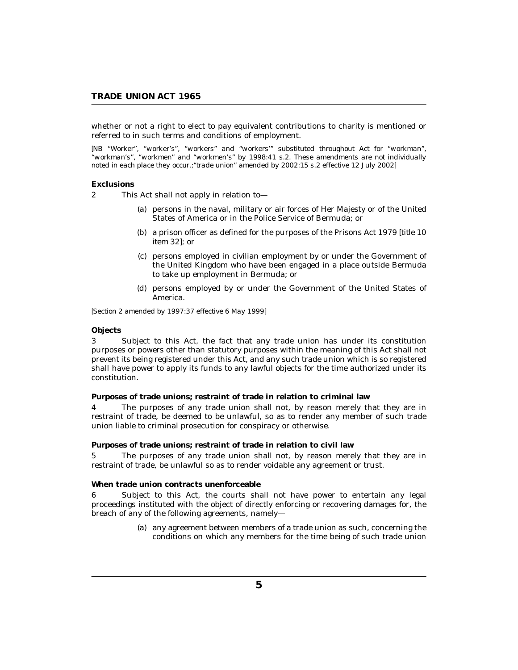<span id="page-4-0"></span>whether or not a right to elect to pay equivalent contributions to charity is mentioned or referred to in such terms and conditions of employment.

*[NB "Worker", "worker's", "workers" and "workers'" substituted throughout Act for "workman", "workman's", "workmen" and "workmen's" by 1998:41 s.2. These amendments are not individually noted in each place they occur.;"trade union" amended by 2002:15 s.2 effective 12 July 2002]*

#### **Exclusions**

This Act shall not apply in relation to—  $\mathfrak{p}$ 

- (a) persons in the naval, military or air forces of Her Majesty or of the United States of America or in the Police Service of Bermuda; or
- (b) a prison officer as defined for the purposes of the Prisons Act 1979 [*title 10 item 32*]; or
- (c) persons employed in civilian employment by or under the Government of the United Kingdom who have been engaged in a place outside Bermuda to take up employment in Bermuda; or
- persons employed by or under the Government of the United States of (d) America.

*[Section 2 amended by 1997:37 effective 6 May 1999]*

#### **Objects**

Subject to this Act, the fact that any trade union has under its constitution purposes or powers other than statutory purposes within the meaning of this Act shall not prevent its being registered under this Act, and any such trade union which is so registered shall have power to apply its funds to any lawful objects for the time authorized under its constitution. 3

**Purposes of trade unions; restraint of trade in relation to criminal law**

The purposes of any trade union shall not, by reason merely that they are in restraint of trade, be deemed to be unlawful, so as to render any member of such trade union liable to criminal prosecution for conspiracy or otherwise. 4

**Purposes of trade unions; restraint of trade in relation to civil law**

The purposes of any trade union shall not, by reason merely that they are in restraint of trade, be unlawful so as to render voidable any agreement or trust. 5

**When trade union contracts unenforceable**

Subject to this Act, the courts shall not have power to entertain any legal proceedings instituted with the object of directly enforcing or recovering damages for, the breach of any of the following agreements, namely— 6

> (a) any agreement between members of a trade union as such, concerning the conditions on which any members for the time being of such trade union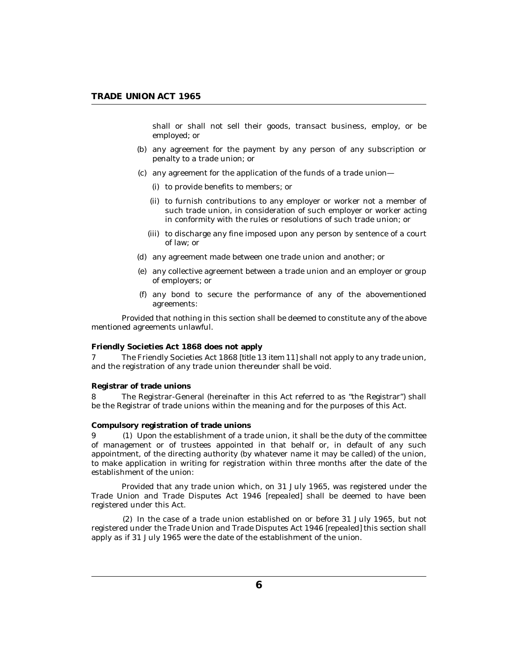<span id="page-5-0"></span>shall or shall not sell their goods, transact business, employ, or be employed; or

- (b) any agreement for the payment by any person of any subscription or penalty to a trade union; or
- (c) any agreement for the application of the funds of a trade union-
	- (i) to provide benefits to members; or
	- (ii) to furnish contributions to any employer or worker not a member of such trade union, in consideration of such employer or worker acting in conformity with the rules or resolutions of such trade union; or
	- (iii) to discharge any fine imposed upon any person by sentence of a court of law; or
- (d) any agreement made between one trade union and another; or
- any collective agreement between a trade union and an employer or group (e) of employers; or
- any bond to secure the performance of any of the abovementioned (f) agreements:

Provided that nothing in this section shall be deemed to constitute any of the above mentioned agreements unlawful.

#### **Friendly Societies Act 1868 does not apply**

The Friendly Societies Act 1868 [*title 13 item 11*] shall not apply to any trade union, and the registration of any trade union thereunder shall be void. 7

#### **Registrar of trade unions**

The Registrar-General (hereinafter in this Act referred to as "the Registrar") shall be the Registrar of trade unions within the meaning and for the purposes of this Act. 8

### **Compulsory registration of trade unions**

Upon the establishment of a trade union, it shall be the duty of the committee 9 (1) of management or of trustees appointed in that behalf or, in default of any such appointment, of the directing authority (by whatever name it may be called) of the union, to make application in writing for registration within three months after the date of the establishment of the union:

Provided that any trade union which, on 31 July 1965, was registered under the Trade Union and Trade Disputes Act 1946 [*repealed*] shall be deemed to have been registered under this Act.

 $(2)$  In the case of a trade union established on or before 31 July 1965, but not registered under the Trade Union and Trade Disputes Act 1946 [*repealed*] this section shall apply as if 31 July 1965 were the date of the establishment of the union.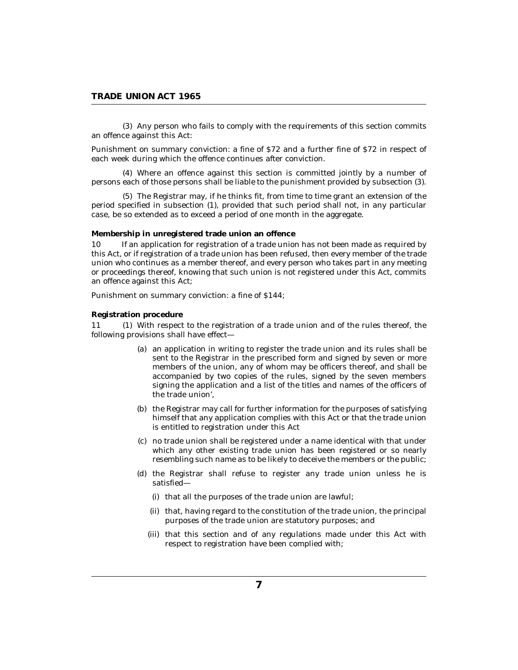<span id="page-6-0"></span>(3) Any person who fails to comply with the requirements of this section commits an offence against this Act:

Punishment on summary conviction: a fine of \$72 and a further fine of \$72 in respect of each week during which the offence continues after conviction.

Where an offence against this section is committed jointly by a number of (4) persons each of those persons shall be liable to the punishment provided by subsection (3).

The Registrar may, if he thinks fit, from time to time grant an extension of the (5) period specified in subsection (1), provided that such period shall not, in any particular case, be so extended as to exceed a period of one month in the aggregate.

**Membership in unregistered trade union an offence**

If an application for registration of a trade union has not been made as required by this Act, or if registration of a trade union has been refused, then every member of the trade union who continues as a member thereof, and every person who takes part in any meeting or proceedings thereof, knowing that such union is not registered under this Act, commits an offence against this Act;  $1<sub>0</sub>$ 

Punishment on summary conviction: a fine of \$144;

### **Registration procedure**

11 (1) With respect to the registration of a trade union and of the rules thereof, the following provisions shall have effect—

- (a) an application in writing to register the trade union and its rules shall be sent to the Registrar in the prescribed form and signed by seven or more members of the union, any of whom may be officers thereof, and shall be accompanied by two copies of the rules, signed by the seven members signing the application and a list of the titles and names of the officers of the trade union',
- (b) the Registrar may call for further information for the purposes of satisfying himself that any application complies with this Act or that the trade union is entitled to registration under this Act
- no trade union shall be registered under a name identical with that under (c) which any other existing trade union has been registered or so nearly resembling such name as to be likely to deceive the members or the public;
- (d) the Registrar shall refuse to register any trade union unless he is satisfied—
	- (i) that all the purposes of the trade union are lawful;
	- (ii) that, having regard to the constitution of the trade union, the principal purposes of the trade union are statutory purposes; and
	- (iii) that this section and of any regulations made under this Act with respect to registration have been complied with;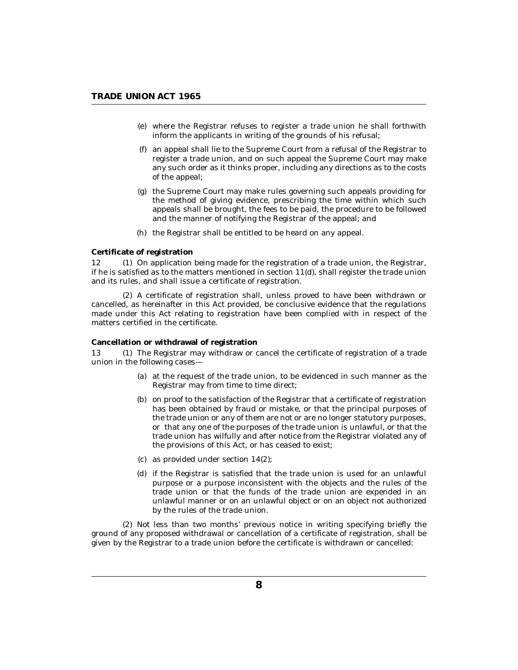- <span id="page-7-0"></span>where the Registrar refuses to register a trade union he shall forthwith (e) inform the applicants in writing of the grounds of his refusal;
- an appeal shall lie to the Supreme Court from a refusal of the Registrar to (f) register a trade union, and on such appeal the Supreme Court may make any such order as it thinks proper, including any directions as to the costs of the appeal;
- the Supreme Court may make rules governing such appeals providing for (g) the method of giving evidence, prescribing the time within which such appeals shall be brought, the fees to be paid, the procedure to be followed and the manner of notifying the Registrar of the appeal; and
- (h) the Registrar shall be entitled to be heard on any appeal.

## **Certificate of registration**

 $(1)$  On application being made for the registration of a trade union, the Registrar, if he is satisfied as to the matters mentioned in section  $11(d)$ , shall register the trade union and its rules, and shall issue a certificate of registration. 12

A certificate of registration shall, unless proved to have been withdrawn or (2) cancelled, as hereinafter in this Act provided, be conclusive evidence that the regulations made under this Act relating to registration have been complied with in respect of the matters certified in the certificate.

### **Cancellation or withdrawal of registration**

The Registrar may withdraw or cancel the certificate of registration of a trade union in the following cases— 13

- at the request of the trade union, to be evidenced in such manner as the (a) Registrar may from time to time direct;
- $(b)$  on proof to the satisfaction of the Registrar that a certificate of registration has been obtained by fraud or mistake, or that the principal purposes of the trade union or any of them are not or are no longer statutory purposes, or that any one of the purposes of the trade union is unlawful, or that the trade union has wilfully and after notice from the Registrar violated any of the provisions of this Act, or has ceased to exist;
- as provided under section 14(2); (c)
- if the Registrar is satisfied that the trade union is used for an unlawful (d) purpose or a purpose inconsistent with the objects and the rules of the trade union or that the funds of the trade union are expended in an unlawful manner or on an unlawful object or on an object not authorized by the rules of the trade union.

(2) Not less than two months' previous notice in writing specifying briefly the ground of any proposed withdrawal or cancellation of a certificate of registration, shall be given by the Registrar to a trade union before the certificate is withdrawn or cancelled: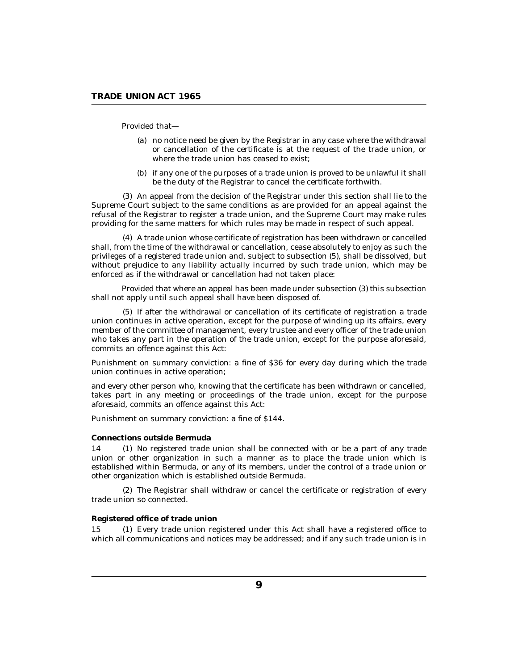<span id="page-8-0"></span>Provided that—

- no notice need be given by the Registrar in any case where the withdrawal (a) or cancellation of the certificate is at the request of the trade union, or where the trade union has ceased to exist;
- (b) if any one of the purposes of a trade union is proved to be unlawful it shall be the duty of the Registrar to cancel the certificate forthwith.

An appeal from the decision of the Registrar under this section shall lie to the (3) Supreme Court subject to the same conditions as are provided for an appeal against the refusal of the Registrar to register a trade union, and the Supreme Court may make rules providing for the same matters for which rules may be made in respect of such appeal.

A trade union whose certificate of registration has been withdrawn or cancelled (4) shall, from the time of the withdrawal or cancellation, cease absolutely to enjoy as such the privileges of a registered trade union and, subject to subsection (5), shall be dissolved, but without prejudice to any liability actually incurred by such trade union, which may be enforced as if the withdrawal or cancellation had not taken place:

Provided that where an appeal has been made under subsection (3) this subsection shall not apply until such appeal shall have been disposed of.

(5) If after the withdrawal or cancellation of its certificate of registration a trade union continues in active operation, except for the purpose of winding up its affairs, every member of the committee of management, every trustee and every officer of the trade union who takes any part in the operation of the trade union, except for the purpose aforesaid, commits an offence against this Act:

Punishment on summary conviction: a fine of \$36 for every day during which the trade union continues in active operation;

and every other person who, knowing that the certificate has been withdrawn or cancelled, takes part in any meeting or proceedings of the trade union, except for the purpose aforesaid, commits an offence against this Act:

Punishment on summary conviction: a fine of \$144.

#### **Connections outside Bermuda**

14 (1) No registered trade union shall be connected with or be a part of any trade union or other organization in such a manner as to place the trade union which is established within Bermuda, or any of its members, under the control of a trade union or other organization which is established outside Bermuda.

(2) The Registrar shall withdraw or cancel the certificate or registration of every trade union so connected.

### **Registered office of trade union**

Every trade union registered under this Act shall have a registered office to which all communications and notices may be addressed; and if any such trade union is in 15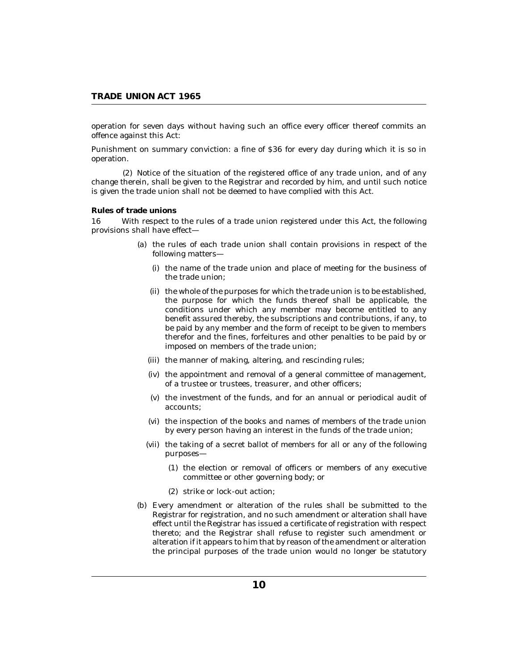<span id="page-9-0"></span>operation for seven days without having such an office every officer thereof commits an offence against this Act:

Punishment on summary conviction: a fine of \$36 for every day during which it is so in operation.

(2) Notice of the situation of the registered office of any trade union, and of any change therein, shall be given to the Registrar and recorded by him, and until such notice is given the trade union shall not be deemed to have complied with this Act.

## **Rules of trade unions**

With respect to the rules of a trade union registered under this Act, the following provisions shall have effect— 16

- (a) the rules of each trade union shall contain provisions in respect of the following matters—
	- (i) the name of the trade union and place of meeting for the business of the trade union;
	- (ii) the whole of the purposes for which the trade union is to be established, the purpose for which the funds thereof shall be applicable, the conditions under which any member may become entitled to any benefit assured thereby, the subscriptions and contributions, if any, to be paid by any member and the form of receipt to be given to members therefor and the fines, forfeitures and other penalties to be paid by or imposed on members of the trade union;
	- (iii) the manner of making, altering, and rescinding rules;
	- (iv) the appointment and removal of a general committee of management, of a trustee or trustees, treasurer, and other officers;
	- $(v)$  the investment of the funds, and for an annual or periodical audit of accounts;
	- (vi) the inspection of the books and names of members of the trade union by every person having an interest in the funds of the trade union;
	- (vii) the taking of a secret ballot of members for all or any of the following purposes—
		- (1) the election or removal of officers or members of any executive committee or other governing body; or
		- strike or lock-out action; (2)
- Every amendment or alteration of the rules shall be submitted to the (b) Registrar for registration, and no such amendment or alteration shall have effect until the Registrar has issued a certificate of registration with respect thereto; and the Registrar shall refuse to register such amendment or alteration if it appears to him that by reason of the amendment or alteration the principal purposes of the trade union would no longer be statutory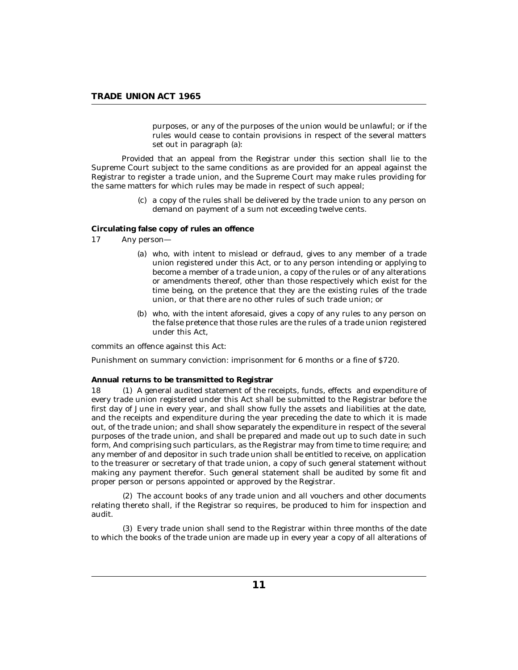purposes, or any of the purposes of the union would be unlawful; or if the rules would cease to contain provisions in respect of the several matters set out in paragraph (a):

<span id="page-10-0"></span>Provided that an appeal from the Registrar under this section shall lie to the Supreme Court subject to the same conditions as are provided for an appeal against the Registrar to register a trade union, and the Supreme Court may make rules providing for the same matters for which rules may be made in respect of such appeal;

> a copy of the rules shall be delivered by the trade union to any person on (c) demand on payment of a sum not exceeding twelve cents.

**Circulating false copy of rules an offence**

- Any person— 17
	- who, with intent to mislead or defraud, gives to any member of a trade (a) union registered under this Act, or to any person intending or applying to become a member of a trade union, a copy of the rules or of any alterations or amendments thereof, other than those respectively which exist for the time being, on the pretence that they are the existing rules of the trade union, or that there are no other rules of such trade union; or
	- (b) who, with the intent aforesaid, gives a copy of any rules to any person on the false pretence that those rules are the rules of a trade union registered under this Act,

commits an offence against this Act:

Punishment on summary conviction: imprisonment for 6 months or a fine of \$720.

#### **Annual returns to be transmitted to Registrar**

A general audited statement of the receipts, funds, effects and expenditure of every trade union registered under this Act shall be submitted to the Registrar before the first day of June in every year, and shall show fully the assets and liabilities at the date, and the receipts and expenditure during the year preceding the date to which it is made out, of the trade union; and shall show separately the expenditure in respect of the several purposes of the trade union, and shall be prepared and made out up to such date in such form, And comprising such particulars, as the Registrar may from time to time require; and any member of and depositor in such trade union shall be entitled to receive, on application to the treasurer or secretary of that trade union, a copy of such general statement without making any payment therefor. Such general statement shall be audited by some fit and proper person or persons appointed or approved by the Registrar. 18

The account books of any trade union and all vouchers and other documents (2) relating thereto shall, if the Registrar so requires, be produced to him for inspection and audit.

Every trade union shall send to the Registrar within three months of the date (3) to which the books of the trade union are made up in every year a copy of all alterations of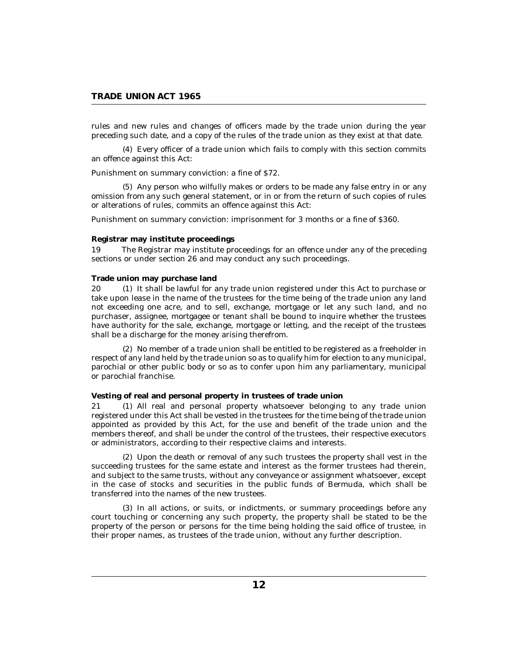<span id="page-11-0"></span>rules and new rules and changes of officers made by the trade union during the year preceding such date, and a copy of the rules of the trade union as they exist at that date.

Every officer of a trade union which fails to comply with this section commits (4) an offence against this Act:

Punishment on summary conviction: a fine of \$72.

Any person who wilfully makes or orders to be made any false entry in or any (5) omission from any such general statement, or in or from the return of such copies of rules or alterations of rules, commits an offence against this Act:

Punishment on summary conviction: imprisonment for 3 months or a fine of \$360.

## **Registrar may institute proceedings**

The Registrar may institute proceedings for an offence under any of the preceding sections or under section 26 and may conduct any such proceedings. 19

### **Trade union may purchase land**

20 (1) It shall be lawful for any trade union registered under this Act to purchase or take upon lease in the name of the trustees for the time being of the trade union any land not exceeding one acre, and to sell, exchange, mortgage or let any such land, and no purchaser, assignee, mortgagee or tenant shall be bound to inquire whether the trustees have authority for the sale, exchange, mortgage or letting, and the receipt of the trustees shall be a discharge for the money arising therefrom.

(2) No member of a trade union shall be entitled to be registered as a freeholder in respect of any land held by the trade union so as to qualify him for election to any municipal, parochial or other public body or so as to confer upon him any parliamentary, municipal or parochial franchise.

## **Vesting of real and personal property in trustees of trade union**

All real and personal property whatsoever belonging to any trade union registered under this Act shall be vested in the trustees for the time being of the trade union appointed as provided by this Act, for the use and benefit of the trade union and the members thereof, and shall be under the control of the trustees, their respective executors or administrators, according to their respective claims and interests.  $21$ 

Upon the death or removal of any such trustees the property shall vest in the (2) succeeding trustees for the same estate and interest as the former trustees had therein, and subject to the same trusts, without any conveyance or assignment whatsoever, except in the case of stocks and securities in the public funds of Bermuda, which shall be transferred into the names of the new trustees.

(3) In all actions, or suits, or indictments, or summary proceedings before any court touching or concerning any such property, the property shall be stated to be the property of the person or persons for the time being holding the said office of trustee, in their proper names, as trustees of the trade union, without any further description.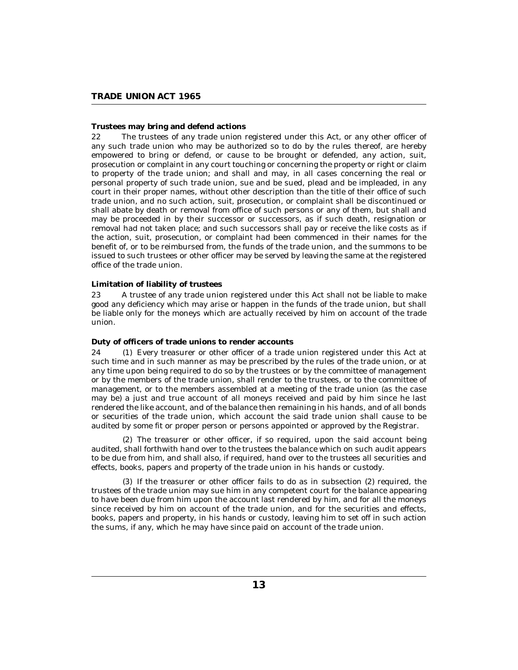# <span id="page-12-0"></span>**Trustees may bring and defend actions**

The trustees of any trade union registered under this Act, or any other officer of any such trade union who may be authorized so to do by the rules thereof, are hereby empowered to bring or defend, or cause to be brought or defended, any action, suit, prosecution or complaint in any court touching or concerning the property or right or claim to property of the trade union; and shall and may, in all cases concerning the real or personal property of such trade union, sue and be sued, plead and be impleaded, in any court in their proper names, without other description than the title of their office of such trade union, and no such action, suit, prosecution, or complaint shall be discontinued or shall abate by death or removal from office of such persons or any of them, but shall and may be proceeded in by their successor or successors, as if such death, resignation or removal had not taken place; and such successors shall pay or receive the like costs as if the action, suit, prosecution, or complaint had been commenced in their names for the benefit of, or to be reimbursed from, the funds of the trade union, and the summons to be issued to such trustees or other officer may be served by leaving the same at the registered office of the trade union. 22

## **Limitation of liability of trustees**

A trustee of any trade union registered under this Act shall not be liable to make good any deficiency which may arise or happen in the funds of the trade union, but shall be liable only for the moneys which are actually received by him on account of the trade union. 23

## **Duty of officers of trade unions to render accounts**

Every treasurer or other officer of a trade union registered under this Act at such time and in such manner as may be prescribed by the rules of the trade union, or at any time upon being required to do so by the trustees or by the committee of management or by the members of the trade union, shall render to the trustees, or to the committee of management, or to the members assembled at a meeting of the trade union (as the case may be) a just and true account of all moneys received and paid by him since he last rendered the like account, and of the balance then remaining in his hands, and of all bonds or securities of the trade union, which account the said trade union shall cause to be audited by some fit or proper person or persons appointed or approved by the Registrar.  $24$ 

The treasurer or other officer, if so required, upon the said account being (2) audited, shall forthwith hand over to the trustees the balance which on such audit appears to be due from him, and shall also, if required, hand over to the trustees all securities and effects, books, papers and property of the trade union in his hands or custody.

 $(3)$  If the treasurer or other officer fails to do as in subsection  $(2)$  required, the trustees of the trade union may sue him in any competent court for the balance appearing to have been due from him upon the account last rendered by him, and for all the moneys since received by him on account of the trade union, and for the securities and effects, books, papers and property, in his hands or custody, leaving him to set off in such action the sums, if any, which he may have since paid on account of the trade union.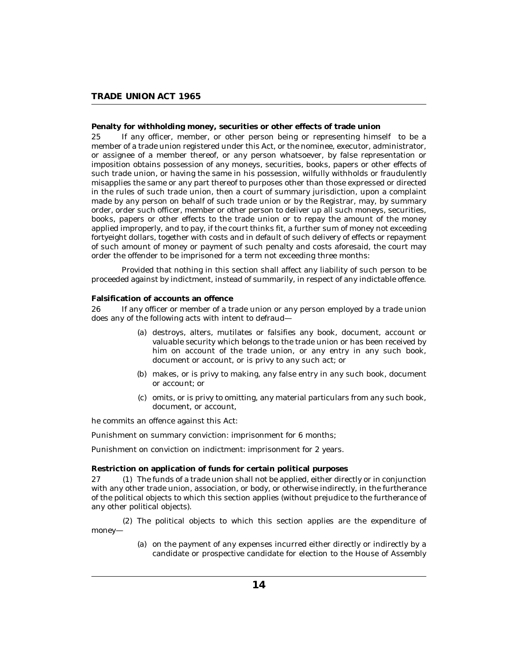# <span id="page-13-0"></span>**Penalty for withholding money, securities or other effects of trade union**

If any officer, member, or other person being or representing himself to be a member of a trade union registered under this Act, or the nominee, executor, administrator, or assignee of a member thereof, or any person whatsoever, by false representation or imposition obtains possession of any moneys, securities, books, papers or other effects of such trade union, or having the same in his possession, wilfully withholds or fraudulently misapplies the same or any part thereof to purposes other than those expressed or directed in the rules of such trade union, then a court of summary jurisdiction, upon a complaint made by any person on behalf of such trade union or by the Registrar, may, by summary order, order such officer, member or other person to deliver up all such moneys, securities, books, papers or other effects to the trade union or to repay the amount of the money applied improperly, and to pay, if the court thinks fit, a further sum of money not exceeding fortyeight dollars, together with costs and in default of such delivery of effects or repayment of such amount of money or payment of such penalty and costs aforesaid, the court may order the offender to be imprisoned for a term not exceeding three months: 25

Provided that nothing in this section shall affect any liability of such person to be proceeded against by indictment, instead of summarily, in respect of any indictable offence.

#### **Falsification of accounts an offence**

If any officer or member of a trade union or any person employed by a trade union does any of the following acts with intent to defraud— 26

- (a) destroys, alters, mutilates or falsifies any book, document, account or valuable security which belongs to the trade union or has been received by him on account of the trade union, or any entry in any such book, document or account, or is privy to any such act; or
- (b) makes, or is privy to making, any false entry in any such book, document or account; or
- (c) omits, or is privy to omitting, any material particulars from any such book, document, or account,

he commits an offence against this Act:

Punishment on summary conviction: imprisonment for 6 months;

Punishment on conviction on indictment: imprisonment for 2 years.

**Restriction on application of funds for certain political purposes**

27 (1) The funds of a trade union shall not be applied, either directly or in conjunction with any other trade union, association, or body, or otherwise indirectly, in the furtherance of the political objects to which this section applies (without prejudice to the furtherance of any other political objects).

The political objects to which this section applies are the expenditure of (2) money—

> (a) on the payment of any expenses incurred either directly or indirectly by a candidate or prospective candidate for election to the House of Assembly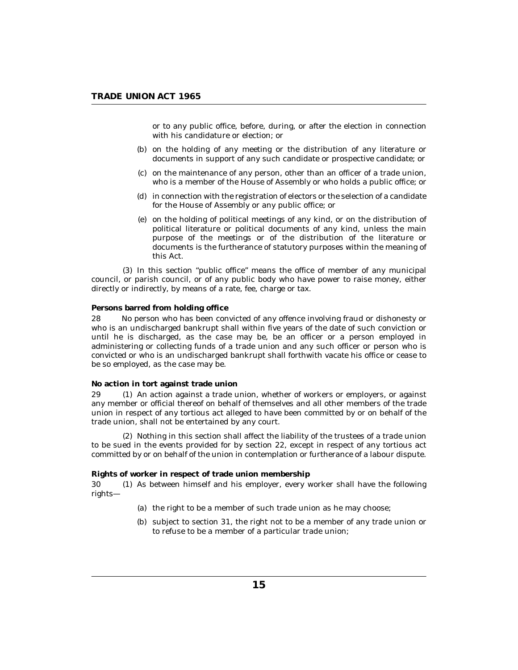<span id="page-14-0"></span>or to any public office, before, during, or after the election in connection with his candidature or election; or

- (b) on the holding of any meeting or the distribution of any literature or documents in support of any such candidate or prospective candidate; or
- $(c)$  on the maintenance of any person, other than an officer of a trade union, who is a member of the House of Assembly or who holds a public office; or
- in connection with the registration of electors or the selection of a candidate (d) for the House of Assembly or any public office; or
- (e) on the holding of political meetings of any kind, or on the distribution of political literature or political documents of any kind, unless the main purpose of the meetings or of the distribution of the literature or documents is the furtherance of statutory purposes within the meaning of this Act.

 $(3)$  In this section "public office" means the office of member of any municipal council, or parish council, or of any public body who have power to raise money, either directly or indirectly, by means of a rate, fee, charge or tax.

## **Persons barred from holding office**

No person who has been convicted of any offence involving fraud or dishonesty or who is an undischarged bankrupt shall within five years of the date of such conviction or until he is discharged, as the case may be, be an officer or a person employed in administering or collecting funds of a trade union and any such officer or person who is convicted or who is an undischarged bankrupt shall forthwith vacate his office or cease to be so employed, as the case may be. 28

#### **No action in tort against trade union**

29 (1) An action against a trade union, whether of workers or employers, or against any member or official thereof on behalf of themselves and all other members of the trade union in respect of any tortious act alleged to have been committed by or on behalf of the trade union, shall not be entertained by any court.

(2) Nothing in this section shall affect the liability of the trustees of a trade union to be sued in the events provided for by section 22, except in respect of any tortious act committed by or on behalf of the union in contemplation or furtherance of a labour dispute.

## **Rights of worker in respect of trade union membership**

30 (1) As between himself and his employer, every worker shall have the following rights—

- (a) the right to be a member of such trade union as he may choose;
- (b) subject to section  $31$ , the right not to be a member of any trade union or to refuse to be a member of a particular trade union;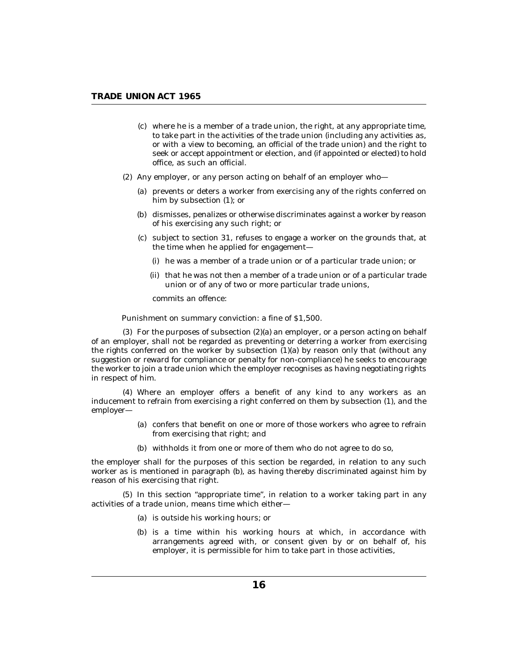- where he is a member of a trade union, the right, at any appropriate time, (c) to take part in the activities of the trade union (including any activities as, or with a view to becoming, an official of the trade union) and the right to seek or accept appointment or election, and (if appointed or elected) to hold office, as such an official.
- (2) Any employer, or any person acting on behalf of an employer who-
	- (a) prevents or deters a worker from exercising any of the rights conferred on him by subsection (1); or
	- (b) dismisses, penalizes or otherwise discriminates against a worker by reason of his exercising any such right; or
	- $(c)$  subject to section 31, refuses to engage a worker on the grounds that, at the time when he applied for engagement—
		- (i) he was a member of a trade union or of a particular trade union; or
		- (ii) that he was not then a member of a trade union or of a particular trade union or of any of two or more particular trade unions,

commits an offence:

Punishment on summary conviction: a fine of \$1,500.

 $(3)$  For the purposes of subsection  $(2)(a)$  an employer, or a person acting on behalf of an employer, shall not be regarded as preventing or deterring a worker from exercising the rights conferred on the worker by subsection  $(1)(a)$  by reason only that (without any suggestion or reward for compliance or penalty for non-compliance) he seeks to encourage the worker to join a trade union which the employer recognises as having negotiating rights in respect of him.

Where an employer offers a benefit of any kind to any workers as an (4) inducement to refrain from exercising a right conferred on them by subsection (1), and the employer—

- (a) confers that benefit on one or more of those workers who agree to refrain from exercising that right; and
- (b) withholds it from one or more of them who do not agree to do so,

the employer shall for the purposes of this section be regarded, in relation to any such worker as is mentioned in paragraph (b), as having thereby discriminated against him by reason of his exercising that right.

 $(5)$  In this section "appropriate time", in relation to a worker taking part in any activities of a trade union, means time which either—

- (a) is outside his working hours; or
- (b) is a time within his working hours at which, in accordance with arrangements agreed with, or consent given by or on behalf of, his employer, it is permissible for him to take part in those activities,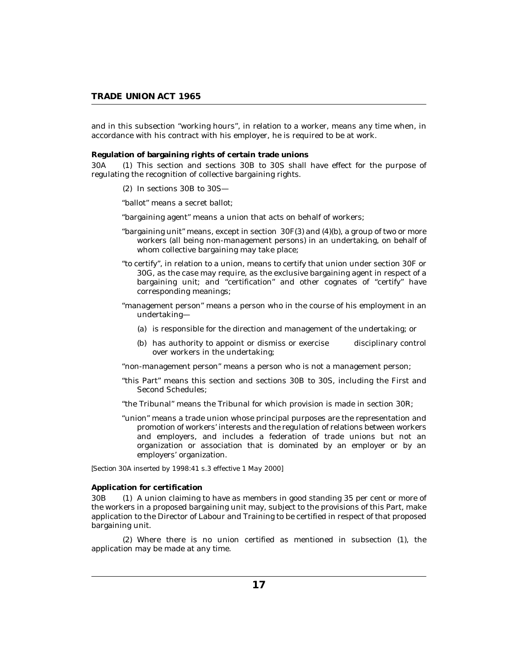<span id="page-16-0"></span>and in this subsection "working hours", in relation to a worker, means any time when, in accordance with his contract with his employer, he is required to be at work.

**Regulation of bargaining rights of certain trade unions**

This section and sections 30B to 30S shall have effect for the purpose of regulating the recognition of collective bargaining rights.  $30A$ 

 $(2)$  In sections 30B to 30S-

"ballot" means a secret ballot;

"bargaining agent" means a union that acts on behalf of workers;

- "bargaining unit" means, except in section 30F(3) and (4)(b), a group of two or more workers (all being non-management persons) in an undertaking, on behalf of whom collective bargaining may take place;
- "to certify", in relation to a union, means to certify that union under section 30F or 30G, as the case may require, as the exclusive bargaining agent in respect of a bargaining unit; and "certification" and other cognates of "certify" have corresponding meanings;
- "management person" means a person who in the course of his employment in an undertaking—
	- (a) is responsible for the direction and management of the undertaking; or
	- (b) has authority to appoint or dismiss or exercise disciplinary control over workers in the undertaking;

"non-management person" means a person who is not a management person;

- "this Part" means this section and sections 30B to 30S, including the First and Second Schedules;
- "the Tribunal" means the Tribunal for which provision is made in section 30R;
- "union" means a trade union whose principal purposes are the representation and promotion of workers' interests and the regulation of relations between workers and employers, and includes a federation of trade unions but not an organization or association that is dominated by an employer or by an employers' organization.

*[Section 30A inserted by 1998:41 s.3 effective 1 May 2000]*

**Application for certification**

A union claiming to have as members in good standing 35 per cent or more of the workers in a proposed bargaining unit may, subject to the provisions of this Part, make application to the Director of Labour and Training to be certified in respect of that proposed bargaining unit. 30<sub>B</sub>

Where there is no union certified as mentioned in subsection (1), the (2) application may be made at any time.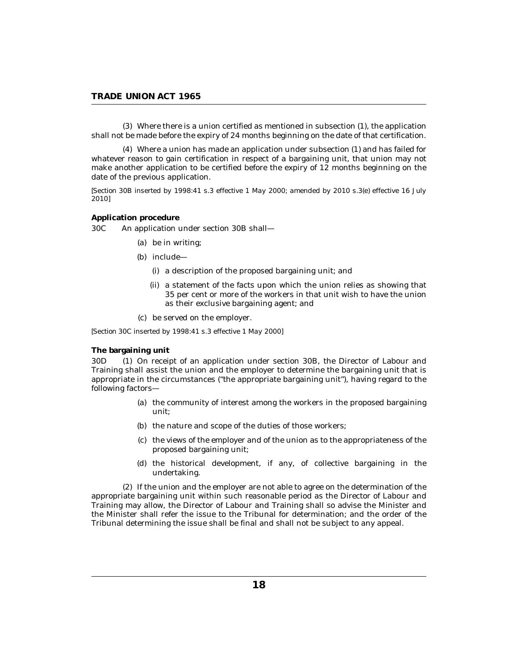<span id="page-17-0"></span>Where there is a union certified as mentioned in subsection (1), the application (3) shall not be made before the expiry of 24 months beginning on the date of that certification.

Where a union has made an application under subsection (1) and has failed for (4) whatever reason to gain certification in respect of a bargaining unit, that union may not make another application to be certified before the expiry of 12 months beginning on the date of the previous application.

*[Section 30B inserted by 1998:41 s.3 effective 1 May 2000; amended by 2010 s.3(e) effective 16 July 2010]*

**Application procedure**

An application under section 30B shall— 30C

- be in writing; (a)
- (b) include—
	- (i) a description of the proposed bargaining unit; and
	- (ii) a statement of the facts upon which the union relies as showing that 35 per cent or more of the workers in that unit wish to have the union as their exclusive bargaining agent; and
- be served on the employer. (c)

*[Section 30C inserted by 1998:41 s.3 effective 1 May 2000]*

### **The bargaining unit**

On receipt of an application under section 30B, the Director of Labour and Training shall assist the union and the employer to determine the bargaining unit that is appropriate in the circumstances ("the appropriate bargaining unit"), having regard to the following factors—  $30D$ 

- (a) the community of interest among the workers in the proposed bargaining unit;
- (b) the nature and scope of the duties of those workers;
- (c) the views of the employer and of the union as to the appropriateness of the proposed bargaining unit;
- (d) the historical development, if any, of collective bargaining in the undertaking.

(2) If the union and the employer are not able to agree on the determination of the appropriate bargaining unit within such reasonable period as the Director of Labour and Training may allow, the Director of Labour and Training shall so advise the Minister and the Minister shall refer the issue to the Tribunal for determination; and the order of the Tribunal determining the issue shall be final and shall not be subject to any appeal.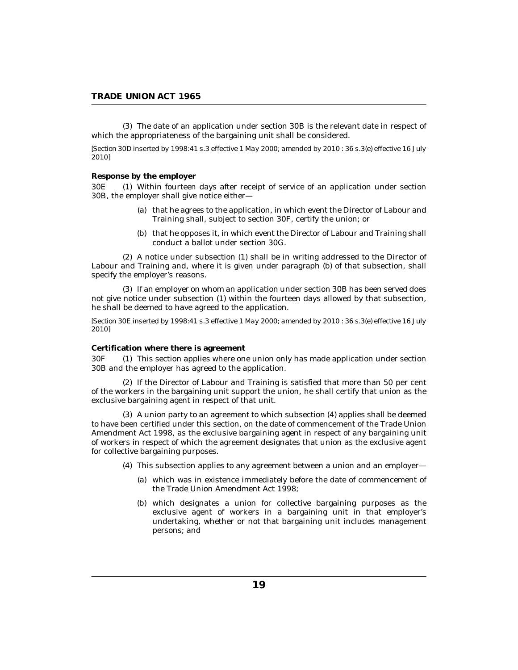<span id="page-18-0"></span>The date of an application under section 30B is the relevant date in respect of (3) which the appropriateness of the bargaining unit shall be considered.

*[Section 30D inserted by 1998:41 s.3 effective 1 May 2000; amended by 2010 : 36 s.3(e) effective 16 July 2010]*

#### **Response by the employer**

Within fourteen days after receipt of service of an application under section 30B, the employer shall give notice either— 30E

- (a) that he agrees to the application, in which event the Director of Labour and Training shall, subject to section 30F, certify the union; or
- (b) that he opposes it, in which event the Director of Labour and Training shall conduct a ballot under section 30G.

A notice under subsection (1) shall be in writing addressed to the Director of (2) Labour and Training and, where it is given under paragraph (b) of that subsection, shall specify the employer's reasons.

(3) If an employer on whom an application under section 30B has been served does not give notice under subsection (1) within the fourteen days allowed by that subsection, he shall be deemed to have agreed to the application.

*[Section 30E inserted by 1998:41 s.3 effective 1 May 2000; amended by 2010 : 36 s.3(e) effective 16 July 2010]*

#### **Certification where there is agreement**

This section applies where one union only has made application under section 30B and the employer has agreed to the application. 30F

 $(2)$  If the Director of Labour and Training is satisfied that more than 50 per cent of the workers in the bargaining unit support the union, he shall certify that union as the exclusive bargaining agent in respect of that unit.

A union party to an agreement to which subsection (4) applies shall be deemed (3) to have been certified under this section, on the date of commencement of the Trade Union Amendment Act 1998, as the exclusive bargaining agent in respect of any bargaining unit of workers in respect of which the agreement designates that union as the exclusive agent for collective bargaining purposes.

- This subsection applies to any agreement between a union and an employer— (4)
	- which was in existence immediately before the date of commencement of (a) the Trade Union Amendment Act 1998;
	- which designates a union for collective bargaining purposes as the (b) exclusive agent of workers in a bargaining unit in that employer's undertaking, whether or not that bargaining unit includes management persons; and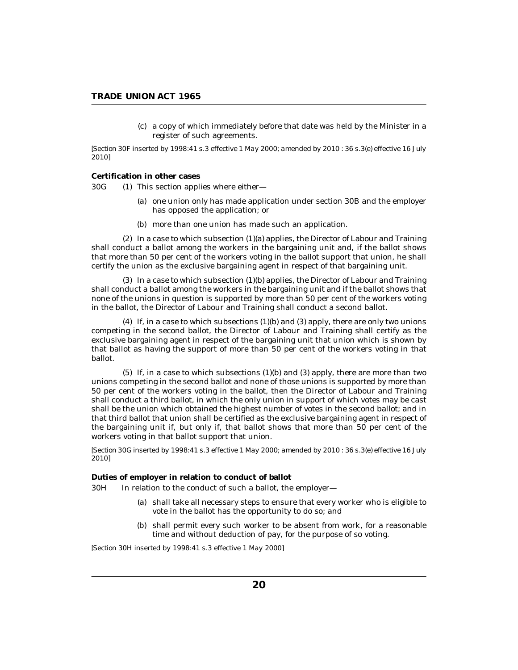a copy of which immediately before that date was held by the Minister in a (c) register of such agreements.

<span id="page-19-0"></span>*[Section 30F inserted by 1998:41 s.3 effective 1 May 2000; amended by 2010 : 36 s.3(e) effective 16 July 2010]*

**Certification in other cases**

 $(1)$  This section applies where either-30G

- (a) one union only has made application under section 30B and the employer has opposed the application; or
- (b) more than one union has made such an application.

 $(2)$  In a case to which subsection  $(1)(a)$  applies, the Director of Labour and Training shall conduct a ballot among the workers in the bargaining unit and, if the ballot shows that more than 50 per cent of the workers voting in the ballot support that union, he shall certify the union as the exclusive bargaining agent in respect of that bargaining unit.

 $(3)$  In a case to which subsection  $(1)(b)$  applies, the Director of Labour and Training shall conduct a ballot among the workers in the bargaining unit and if the ballot shows that none of the unions in question is supported by more than 50 per cent of the workers voting in the ballot, the Director of Labour and Training shall conduct a second ballot.

 $(4)$  If, in a case to which subsections  $(1)(b)$  and  $(3)$  apply, there are only two unions competing in the second ballot, the Director of Labour and Training shall certify as the exclusive bargaining agent in respect of the bargaining unit that union which is shown by that ballot as having the support of more than 50 per cent of the workers voting in that ballot.

 $(5)$  If, in a case to which subsections  $(1)(b)$  and  $(3)$  apply, there are more than two unions competing in the second ballot and none of those unions is supported by more than 50 per cent of the workers voting in the ballot, then the Director of Labour and Training shall conduct a third ballot, in which the only union in support of which votes may be cast shall be the union which obtained the highest number of votes in the second ballot; and in that third ballot that union shall be certified as the exclusive bargaining agent in respect of the bargaining unit if, but only if, that ballot shows that more than 50 per cent of the workers voting in that ballot support that union.

*[Section 30G inserted by 1998:41 s.3 effective 1 May 2000; amended by 2010 : 36 s.3(e) effective 16 July 2010]*

**Duties of employer in relation to conduct of ballot**

In relation to the conduct of such a ballot, the employer— 30H

- (a) shall take all necessary steps to ensure that every worker who is eligible to vote in the ballot has the opportunity to do so; and
- (b) shall permit every such worker to be absent from work, for a reasonable time and without deduction of pay, for the purpose of so voting.

*[Section 30H inserted by 1998:41 s.3 effective 1 May 2000]*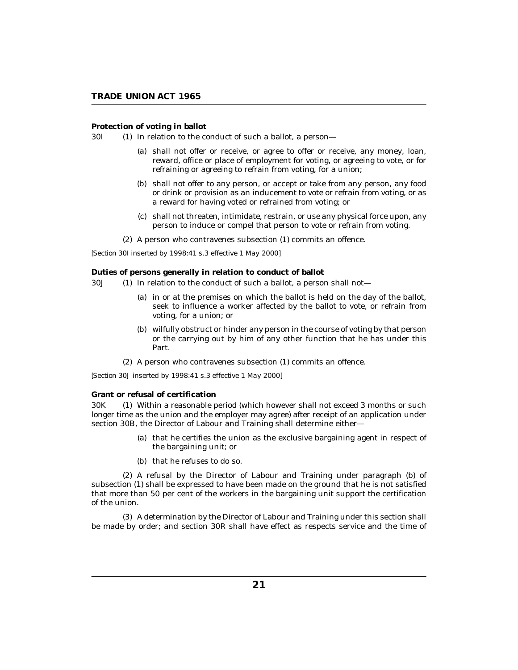<span id="page-20-0"></span>**Protection of voting in ballot**

 $(1)$  In relation to the conduct of such a ballot, a person-30I (1)

- (a) shall not offer or receive, or agree to offer or receive, any money, loan, reward, office or place of employment for voting, or agreeing to vote, or for refraining or agreeing to refrain from voting, for a union;
- (b) shall not offer to any person, or accept or take from any person, any food or drink or provision as an inducement to vote or refrain from voting, or as a reward for having voted or refrained from voting; or
- (c) shall not threaten, intimidate, restrain, or use any physical force upon, any person to induce or compel that person to vote or refrain from voting.
- (2) A person who contravenes subsection (1) commits an offence.

*[Section 30I inserted by 1998:41 s.3 effective 1 May 2000]*

**Duties of persons generally in relation to conduct of ballot**

- $(1)$  In relation to the conduct of such a ballot, a person shall not-30J (1)
	- (a) in or at the premises on which the ballot is held on the day of the ballot, seek to influence a worker affected by the ballot to vote, or refrain from voting, for a union; or
	- (b) wilfully obstruct or hinder any person in the course of voting by that person or the carrying out by him of any other function that he has under this Part.
	- (2) A person who contravenes subsection (1) commits an offence.

*[Section 30J inserted by 1998:41 s.3 effective 1 May 2000]*

**Grant or refusal of certification**

30K (1) Within a reasonable period (which however shall not exceed 3 months or such longer time as the union and the employer may agree) after receipt of an application under section 30B, the Director of Labour and Training shall determine either-

- (a) that he certifies the union as the exclusive bargaining agent in respect of the bargaining unit; or
- (b) that he refuses to do so.

(2) A refusal by the Director of Labour and Training under paragraph (b) of subsection (1) shall be expressed to have been made on the ground that he is not satisfied that more than 50 per cent of the workers in the bargaining unit support the certification of the union.

A determination by the Director of Labour and Training under this section shall (3) be made by order; and section 30R shall have effect as respects service and the time of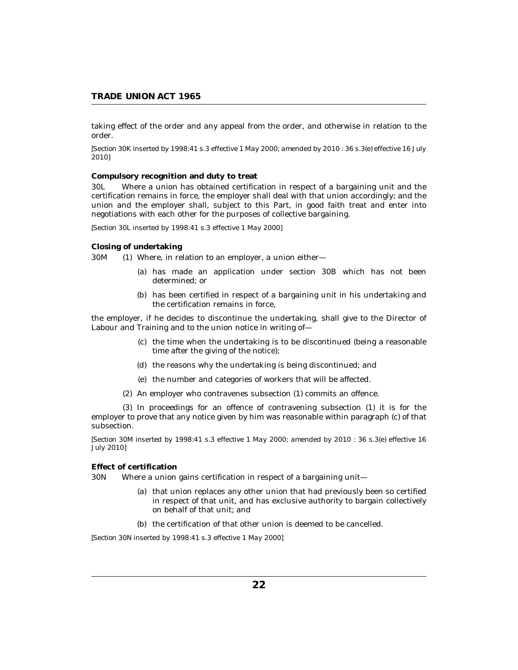<span id="page-21-0"></span>taking effect of the order and any appeal from the order, and otherwise in relation to the order.

*[Section 30K inserted by 1998:41 s.3 effective 1 May 2000; amended by 2010 : 36 s.3(e) effective 16 July 2010]*

**Compulsory recognition and duty to treat**

Where a union has obtained certification in respect of a bargaining unit and the certification remains in force, the employer shall deal with that union accordingly; and the union and the employer shall, subject to this Part, in good faith treat and enter into negotiations with each other for the purposes of collective bargaining. 30L

*[Section 30L inserted by 1998:41 s.3 effective 1 May 2000]*

**Closing of undertaking**

Where, in relation to an employer, a union either— 30M

- has made an application under section 30B which has not been (a) determined; or
- (b) has been certified in respect of a bargaining unit in his undertaking and the certification remains in force,

the employer, if he decides to discontinue the undertaking, shall give to the Director of Labour and Training and to the union notice in writing of—

- $(c)$  the time when the undertaking is to be discontinued (being a reasonable time after the giving of the notice);
- (d) the reasons why the undertaking is being discontinued; and
- (e) the number and categories of workers that will be affected.
- (2) An employer who contravenes subsection (1) commits an offence.

 $(3)$  In proceedings for an offence of contravening subsection  $(1)$  it is for the employer to prove that any notice given by him was reasonable within paragraph (c) of that subsection.

*[Section 30M inserted by 1998:41 s.3 effective 1 May 2000; amended by 2010 : 36 s.3(e) effective 16 July 2010]*

## **Effect of certification**

Where a union gains certification in respect of a bargaining unit-30N

- (a) that union replaces any other union that had previously been so certified in respect of that unit, and has exclusive authority to bargain collectively on behalf of that unit; and
- (b) the certification of that other union is deemed to be cancelled.

*[Section 30N inserted by 1998:41 s.3 effective 1 May 2000]*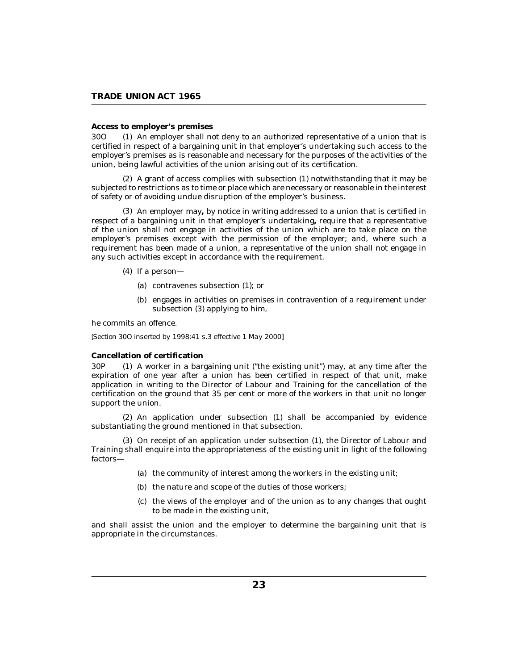#### <span id="page-22-0"></span>**Access to employer's premises**

An employer shall not deny to an authorized representative of a union that is certified in respect of a bargaining unit in that employer's undertaking such access to the employer's premises as is reasonable and necessary for the purposes of the activities of the union, being lawful activities of the union arising out of its certification. 30O (1)

 $(2)$  A grant of access complies with subsection  $(1)$  notwithstanding that it may be subjected to restrictions as to time or place which are necessary or reasonable in the interest of safety or of avoiding undue disruption of the employer's business.

An employer may**,** by notice in writing addressed to a union that is certified in (3) respect of a bargaining unit in that employer's undertaking**,** require that a representative of the union shall not engage in activities of the union which are to take place on the employer's premises except with the permission of the employer; and, where such a requirement has been made of a union, a representative of the union shall not engage in any such activities except in accordance with the requirement.

- $(4)$  If a person—
	- (a) contravenes subsection (1); or
	- (b) engages in activities on premises in contravention of a requirement under subsection (3) applying to him,

he commits an offence.

*[Section 30O inserted by 1998:41 s.3 effective 1 May 2000]*

## **Cancellation of certification**

A worker in a bargaining unit ("the existing unit") may, at any time after the expiration of one year after a union has been certified in respect of that unit, make application in writing to the Director of Labour and Training for the cancellation of the certification on the ground that 35 per cent or more of the workers in that unit no longer support the union. 30<sub>P</sub>

An application under subsection (1) shall be accompanied by evidence (2) substantiating the ground mentioned in that subsection.

(3) On receipt of an application under subsection (1), the Director of Labour and Training shall enquire into the appropriateness of the existing unit in light of the following factors—

- (a) the community of interest among the workers in the existing unit;
- (b) the nature and scope of the duties of those workers;
- (c) the views of the employer and of the union as to any changes that ought to be made in the existing unit,

and shall assist the union and the employer to determine the bargaining unit that is appropriate in the circumstances.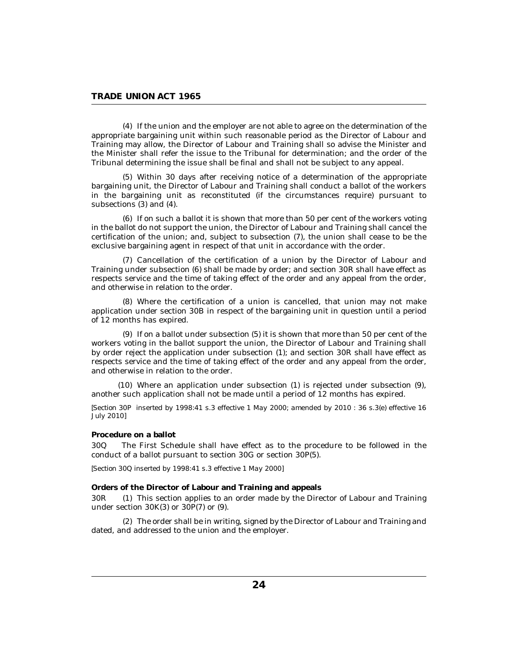<span id="page-23-0"></span>If the union and the employer are not able to agree on the determination of the (4) appropriate bargaining unit within such reasonable period as the Director of Labour and Training may allow, the Director of Labour and Training shall so advise the Minister and the Minister shall refer the issue to the Tribunal for determination; and the order of the Tribunal determining the issue shall be final and shall not be subject to any appeal.

Within 30 days after receiving notice of a determination of the appropriate (5) bargaining unit, the Director of Labour and Training shall conduct a ballot of the workers in the bargaining unit as reconstituted (if the circumstances require) pursuant to subsections (3) and (4).

 $(6)$  If on such a ballot it is shown that more than 50 per cent of the workers voting in the ballot do not support the union, the Director of Labour and Training shall cancel the certification of the union; and, subject to subsection (7), the union shall cease to be the exclusive bargaining agent in respect of that unit in accordance with the order.

(7) Cancellation of the certification of a union by the Director of Labour and Training under subsection (6) shall be made by order; and section 30R shall have effect as respects service and the time of taking effect of the order and any appeal from the order, and otherwise in relation to the order.

Where the certification of a union is cancelled, that union may not make (8) application under section 30B in respect of the bargaining unit in question until a period of 12 months has expired.

 $(9)$  If on a ballot under subsection  $(5)$  it is shown that more than 50 per cent of the workers voting in the ballot support the union, the Director of Labour and Training shall by order reject the application under subsection (1); and section 30R shall have effect as respects service and the time of taking effect of the order and any appeal from the order, and otherwise in relation to the order.

Where an application under subsection (1) is rejected under subsection (9), (10) another such application shall not be made until a period of 12 months has expired.

*[Section 30P inserted by 1998:41 s.3 effective 1 May 2000; amended by 2010 : 36 s.3(e) effective 16 July 2010]*

#### **Procedure on a ballot**

The First Schedule shall have effect as to the procedure to be followed in the conduct of a ballot pursuant to section 30G or section 30P(5). 30Q

*[Section 30Q inserted by 1998:41 s.3 effective 1 May 2000]*

**Orders of the Director of Labour and Training and appeals**

This section applies to an order made by the Director of Labour and Training under section 30K(3) or 30P(7) or (9). 30<sub>R</sub>

The order shall be in writing, signed by the Director of Labour and Training and (2) dated, and addressed to the union and the employer.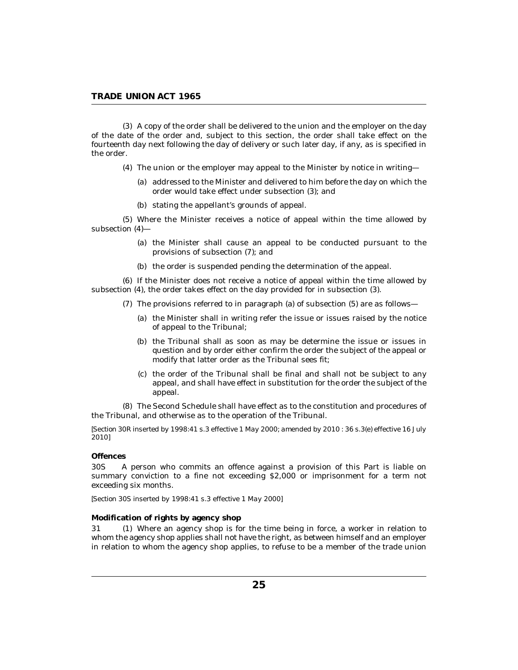<span id="page-24-0"></span>A copy of the order shall be delivered to the union and the employer on the day (3) of the date of the order and, subject to this section, the order shall take effect on the fourteenth day next following the day of delivery or such later day, if any, as is specified in the order.

- The union or the employer may appeal to the Minister by notice in writing— (4)
	- addressed to the Minister and delivered to him before the day on which the (a) order would take effect under subsection (3); and
	- (b) stating the appellant's grounds of appeal.

Where the Minister receives a notice of appeal within the time allowed by (5) subsection (4)—

- (a) the Minister shall cause an appeal to be conducted pursuant to the provisions of subsection (7); and
- (b) the order is suspended pending the determination of the appeal.

If the Minister does not receive a notice of appeal within the time allowed by (6) subsection (4), the order takes effect on the day provided for in subsection (3).

- $(7)$  The provisions referred to in paragraph (a) of subsection  $(5)$  are as follows—
	- (a) the Minister shall in writing refer the issue or issues raised by the notice of appeal to the Tribunal;
	- (b) the Tribunal shall as soon as may be determine the issue or issues in question and by order either confirm the order the subject of the appeal or modify that latter order as the Tribunal sees fit;
	- (c) the order of the Tribunal shall be final and shall not be subject to any appeal, and shall have effect in substitution for the order the subject of the appeal.

The Second Schedule shall have effect as to the constitution and procedures of (8) the Tribunal, and otherwise as to the operation of the Tribunal.

*[Section 30R inserted by 1998:41 s.3 effective 1 May 2000; amended by 2010 : 36 s.3(e) effective 16 July 2010]*

# **Offences**

A person who commits an offence against a provision of this Part is liable on summary conviction to a fine not exceeding \$2,000 or imprisonment for a term not exceeding six months. 30S

*[Section 30S inserted by 1998:41 s.3 effective 1 May 2000]*

## **Modification of rights by agency shop**

Where an agency shop is for the time being in force, a worker in relation to 31 (1) whom the agency shop applies shall not have the right, as between himself and an employer in relation to whom the agency shop applies, to refuse to be a member of the trade union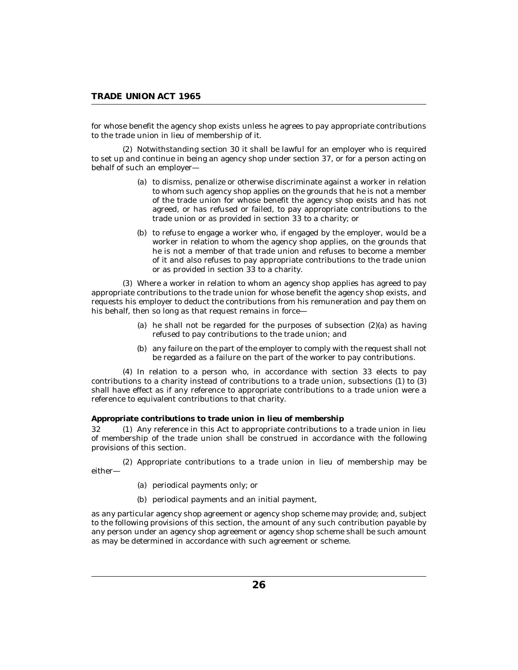<span id="page-25-0"></span>for whose benefit the agency shop exists unless he agrees to pay appropriate contributions to the trade union in lieu of membership of it.

(2) Notwithstanding section 30 it shall be lawful for an employer who is required to set up and continue in being an agency shop under section 37, or for a person acting on behalf of such an employer—

- (a) to dismiss, penalize or otherwise discriminate against a worker in relation to whom such agency shop applies on the grounds that he is not a member of the trade union for whose benefit the agency shop exists and has not agreed, or has refused or failed, to pay appropriate contributions to the trade union or as provided in section 33 to a charity; or
- (b) to refuse to engage a worker who, if engaged by the employer, would be a worker in relation to whom the agency shop applies, on the grounds that he is not a member of that trade union and refuses to become a member of it and also refuses to pay appropriate contributions to the trade union or as provided in section 33 to a charity.

Where a worker in relation to whom an agency shop applies has agreed to pay (3) appropriate contributions to the trade union for whose benefit the agency shop exists, and requests his employer to deduct the contributions from his remuneration and pay them on his behalf, then so long as that request remains in force—

- (a) he shall not be regarded for the purposes of subsection  $(2)(a)$  as having refused to pay contributions to the trade union; and
- (b) any failure on the part of the employer to comply with the request shall not be regarded as a failure on the part of the worker to pay contributions.

In relation to a person who, in accordance with section 33 elects to pay (4) contributions to a charity instead of contributions to a trade union, subsections (1) to (3) shall have effect as if any reference to appropriate contributions to a trade union were a reference to equivalent contributions to that charity.

**Appropriate contributions to trade union in lieu of membership**

Any reference in this Act to appropriate contributions to a trade union in lieu of membership of the trade union shall be construed in accordance with the following provisions of this section.  $32<sub>1</sub>$ 

(2) Appropriate contributions to a trade union in lieu of membership may be either—

- (a) periodical payments only; or
- (b) periodical payments and an initial payment,

as any particular agency shop agreement or agency shop scheme may provide; and, subject to the following provisions of this section, the amount of any such contribution payable by any person under an agency shop agreement or agency shop scheme shall be such amount as may be determined in accordance with such agreement or scheme.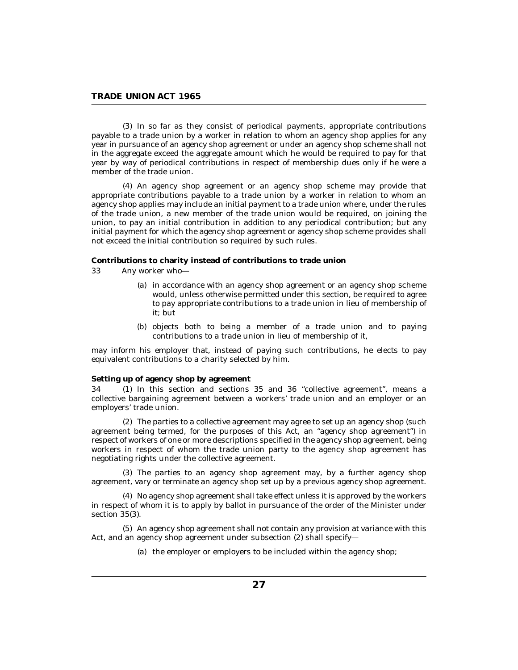<span id="page-26-0"></span>(3) In so far as they consist of periodical payments, appropriate contributions payable to a trade union by a worker in relation to whom an agency shop applies for any year in pursuance of an agency shop agreement or under an agency shop scheme shall not in the aggregate exceed the aggregate amount which he would be required to pay for that year by way of periodical contributions in respect of membership dues only if he were a member of the trade union.

An agency shop agreement or an agency shop scheme may provide that (4) appropriate contributions payable to a trade union by a worker in relation to whom an agency shop applies may include an initial payment to a trade union where, under the rules of the trade union, a new member of the trade union would be required, on joining the union, to pay an initial contribution in addition to any periodical contribution; but any initial payment for which the agency shop agreement or agency shop scheme provides shall not exceed the initial contribution so required by such rules.

**Contributions to charity instead of contributions to trade union**

- Any worker who— 33
	- (a) in accordance with an agency shop agreement or an agency shop scheme would, unless otherwise permitted under this section, be required to agree to pay appropriate contributions to a trade union in lieu of membership of it; but
	- (b) objects both to being a member of a trade union and to paying contributions to a trade union in lieu of membership of it,

may inform his employer that, instead of paying such contributions, he elects to pay equivalent contributions to a charity selected by him.

**Setting up of agency shop by agreement**

34 (1) In this section and sections 35 and 36 "collective agreement", means a collective bargaining agreement between a workers' trade union and an employer or an employers' trade union.

The parties to a collective agreement may agree to set up an agency shop (such (2) agreement being termed, for the purposes of this Act, an "agency shop agreement") in respect of workers of one or more descriptions specified in the agency shop agreement, being workers in respect of whom the trade union party to the agency shop agreement has negotiating rights under the collective agreement.

The parties to an agency shop agreement may, by a further agency shop (3) agreement, vary or terminate an agency shop set up by a previous agency shop agreement.

No agency shop agreement shall take effect unless it is approved by the workers (4) in respect of whom it is to apply by ballot in pursuance of the order of the Minister under section 35(3).

(5) An agency shop agreement shall not contain any provision at variance with this Act, and an agency shop agreement under subsection (2) shall specify—

(a) the employer or employers to be included within the agency shop;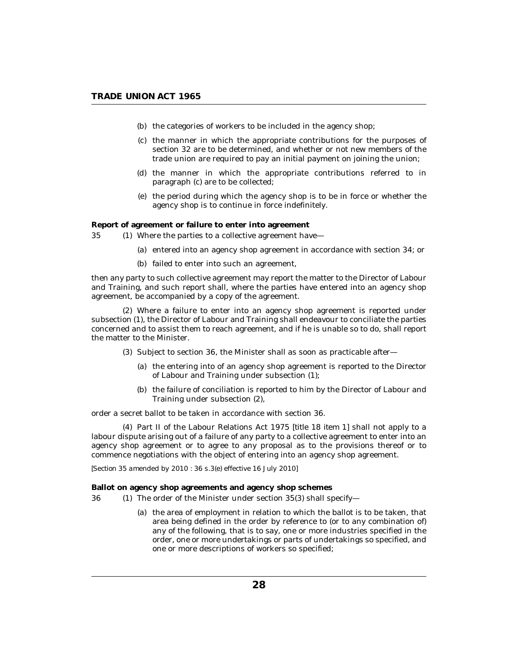- <span id="page-27-0"></span>(b) the categories of workers to be included in the agency shop;
- (c) the manner in which the appropriate contributions for the purposes of section 32 are to be determined, and whether or not new members of the trade union are required to pay an initial payment on joining the union;
- (d) the manner in which the appropriate contributions referred to in paragraph (c) are to be collected;
- (e) the period during which the agency shop is to be in force or whether the agency shop is to continue in force indefinitely.

**Report of agreement or failure to enter into agreement**

- 35 (1) Where the parties to a collective agreement have—
	- (a) entered into an agency shop agreement in accordance with section 34; or
	- (b) failed to enter into such an agreement,

then any party to such collective agreement may report the matter to the Director of Labour and Training, and such report shall, where the parties have entered into an agency shop agreement, be accompanied by a copy of the agreement.

Where a failure to enter into an agency shop agreement is reported under (2) subsection (1), the Director of Labour and Training shall endeavour to conciliate the parties concerned and to assist them to reach agreement, and if he is unable so to do, shall report the matter to the Minister.

- $(3)$  Subject to section 36, the Minister shall as soon as practicable after-
	- (a) the entering into of an agency shop agreement is reported to the Director of Labour and Training under subsection (1);
	- (b) the failure of conciliation is reported to him by the Director of Labour and Training under subsection (2),

order a secret ballot to be taken in accordance with section 36.

Part II of the Labour Relations Act 1975 [*title 18 item 1*] shall not apply to a (4) labour dispute arising out of a failure of any party to a collective agreement to enter into an agency shop agreement or to agree to any proposal as to the provisions thereof or to commence negotiations with the object of entering into an agency shop agreement.

*[Section 35 amended by 2010 : 36 s.3(e) effective 16 July 2010]*

**Ballot on agency shop agreements and agency shop schemes**

- (1) The order of the Minister under section 35(3) shall specify-36
	- (a) the area of employment in relation to which the ballot is to be taken, that area being defined in the order by reference to (or to any combination of) any of the following, that is to say, one or more industries specified in the order, one or more undertakings or parts of undertakings so specified, and one or more descriptions of workers so specified;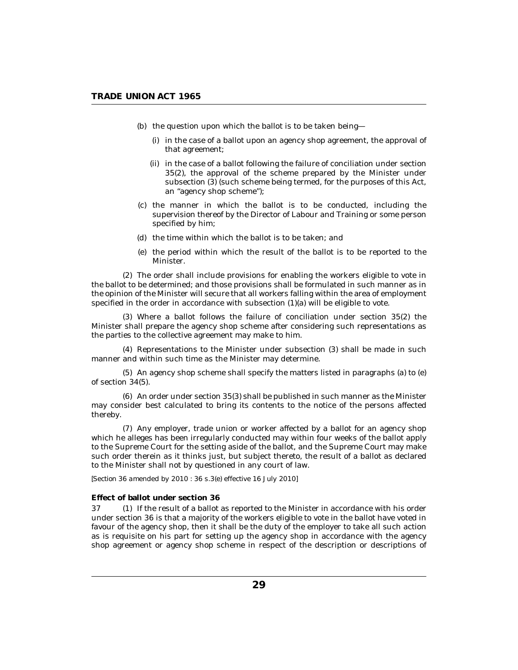- <span id="page-28-0"></span>(b) the question upon which the ballot is to be taken being—
	- (i) in the case of a ballot upon an agency shop agreement, the approval of that agreement;
	- (ii) in the case of a ballot following the failure of conciliation under section 35(2), the approval of the scheme prepared by the Minister under subsection  $(3)$  (such scheme being termed, for the purposes of this Act, an "agency shop scheme");
- (c) the manner in which the ballot is to be conducted, including the supervision thereof by the Director of Labour and Training or some person specified by him;
- (d) the time within which the ballot is to be taken; and
- (e) the period within which the result of the ballot is to be reported to the Minister.

The order shall include provisions for enabling the workers eligible to vote in (2) the ballot to be determined; and those provisions shall be formulated in such manner as in the opinion of the Minister will secure that all workers falling within the area of employment specified in the order in accordance with subsection (1)(a) will be eligible to vote.

Where a ballot follows the failure of conciliation under section 35(2) the (3) Minister shall prepare the agency shop scheme after considering such representations as the parties to the collective agreement may make to him.

(4) Representations to the Minister under subsection (3) shall be made in such manner and within such time as the Minister may determine.

 $(5)$  An agency shop scheme shall specify the matters listed in paragraphs (a) to (e) of section 34(5).

An order under section 35(3) shall be published in such manner as the Minister (6) may consider best calculated to bring its contents to the notice of the persons affected thereby.

Any employer, trade union or worker affected by a ballot for an agency shop (7) which he alleges has been irregularly conducted may within four weeks of the ballot apply to the Supreme Court for the setting aside of the ballot, and the Supreme Court may make such order therein as it thinks just, but subject thereto, the result of a ballot as declared to the Minister shall not by questioned in any court of law.

# *[Section 36 amended by 2010 : 36 s.3(e) effective 16 July 2010]*

### **Effect of ballot under section 36**

If the result of a ballot as reported to the Minister in accordance with his order under section 36 is that a majority of the workers eligible to vote in the ballot have voted in favour of the agency shop, then it shall be the duty of the employer to take all such action as is requisite on his part for setting up the agency shop in accordance with the agency shop agreement or agency shop scheme in respect of the description or descriptions of 37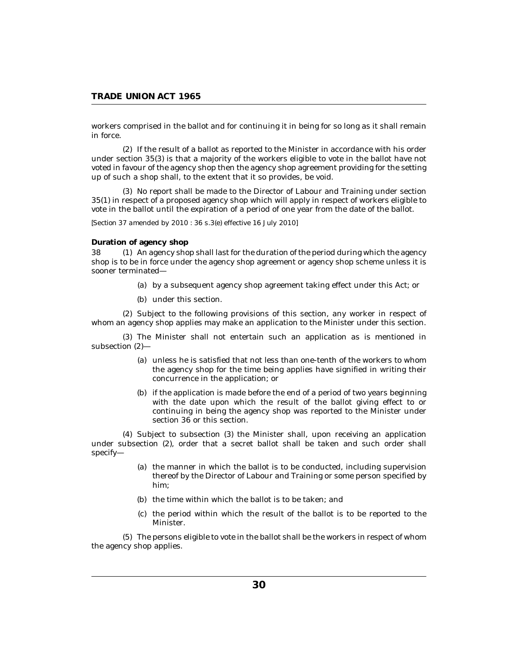<span id="page-29-0"></span>workers comprised in the ballot and for continuing it in being for so long as it shall remain in force.

(2) If the result of a ballot as reported to the Minister in accordance with his order under section 35(3) is that a majority of the workers eligible to vote in the ballot have not voted in favour of the agency shop then the agency shop agreement providing for the setting up of such a shop shall, to the extent that it so provides, be void.

(3) No report shall be made to the Director of Labour and Training under section 35(1) in respect of a proposed agency shop which will apply in respect of workers eligible to vote in the ballot until the expiration of a period of one year from the date of the ballot.

*[Section 37 amended by 2010 : 36 s.3(e) effective 16 July 2010]*

### **Duration of agency shop**

38 (1) An agency shop shall last for the duration of the period during which the agency shop is to be in force under the agency shop agreement or agency shop scheme unless it is sooner terminated—

- (a) by a subsequent agency shop agreement taking effect under this Act; or
- (b) under this section.

(2) Subject to the following provisions of this section, any worker in respect of whom an agency shop applies may make an application to the Minister under this section.

(3) The Minister shall not entertain such an application as is mentioned in subsection (2)—

- unless he is satisfied that not less than one-tenth of the workers to whom (a) the agency shop for the time being applies have signified in writing their concurrence in the application; or
- (b) if the application is made before the end of a period of two years beginning with the date upon which the result of the ballot giving effect to or continuing in being the agency shop was reported to the Minister under section 36 or this section.

Subject to subsection (3) the Minister shall, upon receiving an application (4) under subsection (2), order that a secret ballot shall be taken and such order shall specify—

- (a) the manner in which the ballot is to be conducted, including supervision thereof by the Director of Labour and Training or some person specified by him;
- (b) the time within which the ballot is to be taken; and
- (c) the period within which the result of the ballot is to be reported to the Minister.

The persons eligible to vote in the ballot shall be the workers in respect of whom (5) the agency shop applies.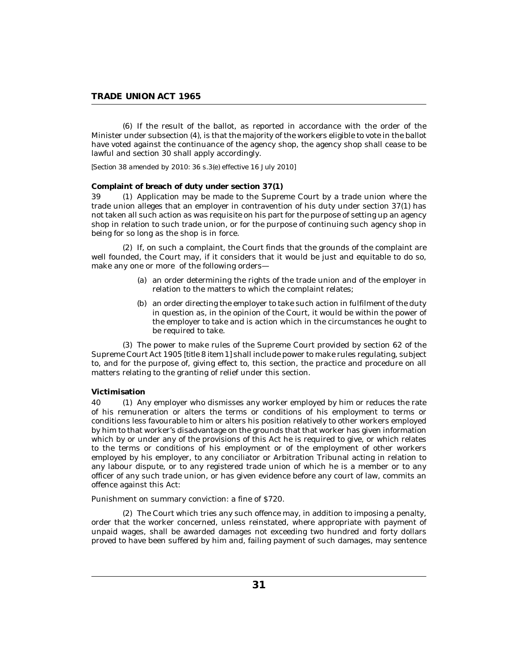<span id="page-30-0"></span>(6) If the result of the ballot, as reported in accordance with the order of the Minister under subsection (4), is that the majority of the workers eligible to vote in the ballot have voted against the continuance of the agency shop, the agency shop shall cease to be lawful and section 30 shall apply accordingly.

*[Section 38 amended by 2010: 36 s.3(e) effective 16 July 2010]*

# **Complaint of breach of duty under section 37(1)**

39 (1) Application may be made to the Supreme Court by a trade union where the trade union alleges that an employer in contravention of his duty under section 37(1) has not taken all such action as was requisite on his part for the purpose of setting up an agency shop in relation to such trade union, or for the purpose of continuing such agency shop in being for so long as the shop is in force.

(2) If, on such a complaint, the Court finds that the grounds of the complaint are well founded, the Court may, if it considers that it would be just and equitable to do so, make any one or more of the following orders—

- an order determining the rights of the trade union and of the employer in (a) relation to the matters to which the complaint relates;
- (b) an order directing the employer to take such action in fulfilment of the duty in question as, in the opinion of the Court, it would be within the power of the employer to take and is action which in the circumstances he ought to be required to take.

The power to make rules of the Supreme Court provided by section 62 of the (3) Supreme Court Act 1905 [*title 8 item 1*] shall include power to make rules regulating, subject to, and for the purpose of, giving effect to, this section, the practice and procedure on all matters relating to the granting of relief under this section.

# **Victimisation**

40 (1) Any employer who dismisses any worker employed by him or reduces the rate of his remuneration or alters the terms or conditions of his employment to terms or conditions less favourable to him or alters his position relatively to other workers employed by him to that worker's disadvantage on the grounds that that worker has given information which by or under any of the provisions of this Act he is required to give, or which relates to the terms or conditions of his employment or of the employment of other workers employed by his employer, to any conciliator or Arbitration Tribunal acting in relation to any labour dispute, or to any registered trade union of which he is a member or to any officer of any such trade union, or has given evidence before any court of law, commits an offence against this Act:

Punishment on summary conviction: a fine of \$720.

The Court which tries any such offence may, in addition to imposing a penalty, (2) order that the worker concerned, unless reinstated, where appropriate with payment of unpaid wages, shall be awarded damages not exceeding two hundred and forty dollars proved to have been suffered by him and, failing payment of such damages, may sentence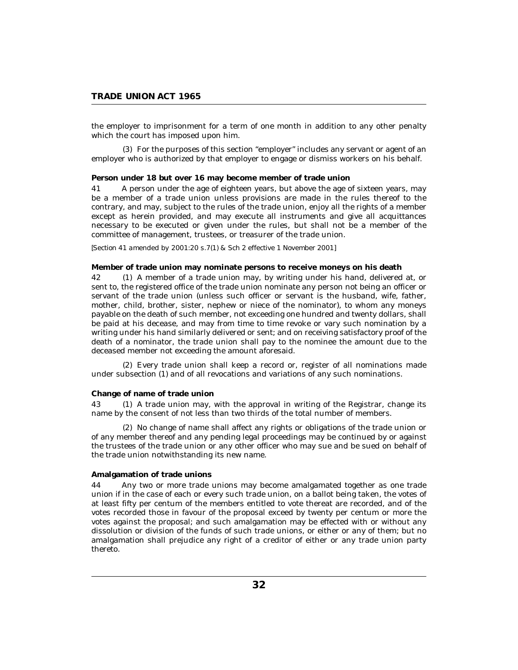<span id="page-31-0"></span>the employer to imprisonment for a term of one month in addition to any other penalty which the court has imposed upon him.

For the purposes of this section "employer" includes any servant or agent of an (3) employer who is authorized by that employer to engage or dismiss workers on his behalf.

**Person under 18 but over 16 may become member of trade union**

A person under the age of eighteen years, but above the age of sixteen years, may be a member of a trade union unless provisions are made in the rules thereof to the contrary, and may, subject to the rules of the trade union, enjoy all the rights of a member except as herein provided, and may execute all instruments and give all acquittances necessary to be executed or given under the rules, but shall not be a member of the committee of management, trustees, or treasurer of the trade union. 41

## *[Section 41 amended by 2001:20 s.7(1) & Sch 2 effective 1 November 2001]*

**Member of trade union may nominate persons to receive moneys on his death**

42 (1) A member of a trade union may, by writing under his hand, delivered at, or sent to, the registered office of the trade union nominate any person not being an officer or servant of the trade union (unless such officer or servant is the husband, wife, father, mother, child, brother, sister, nephew or niece of the nominator), to whom any moneys payable on the death of such member, not exceeding one hundred and twenty dollars, shall be paid at his decease, and may from time to time revoke or vary such nomination by a writing under his hand similarly delivered or sent; and on receiving satisfactory proof of the death of a nominator, the trade union shall pay to the nominee the amount due to the deceased member not exceeding the amount aforesaid.

Every trade union shall keep a record or, register of all nominations made (2) under subsection (1) and of all revocations and variations of any such nominations.

#### **Change of name of trade union**

43 (1) A trade union may, with the approval in writing of the Registrar, change its name by the consent of not less than two thirds of the total number of members.

(2) No change of name shall affect any rights or obligations of the trade union or of any member thereof and any pending legal proceedings may be continued by or against the trustees of the trade union or any other officer who may sue and be sued on behalf of the trade union notwithstanding its new name.

#### **Amalgamation of trade unions**

Any two or more trade unions may become amalgamated together as one trade union if in the case of each or every such trade union, on a ballot being taken, the votes of at least fifty per centum of the members entitled to vote thereat are recorded, and of the votes recorded those in favour of the proposal exceed by twenty per centum or more the votes against the proposal; and such amalgamation may be effected with or without any dissolution or division of the funds of such trade unions, or either or any of them; but no amalgamation shall prejudice any right of a creditor of either or any trade union party thereto. 44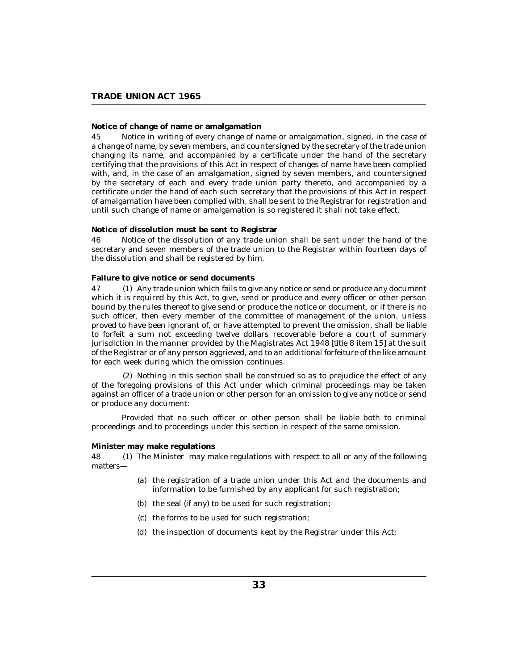# <span id="page-32-0"></span>**Notice of change of name or amalgamation**

Notice in writing of every change of name or amalgamation, signed, in the case of a change of name, by seven members, and countersigned by the secretary of the trade union changing its name, and accompanied by a certificate under the hand of the secretary certifying that the provisions of this Act in respect of changes of name have been complied with, and, in the case of an amalgamation, signed by seven members, and countersigned by the secretary of each and every trade union party thereto, and accompanied by a certificate under the hand of each such secretary that the provisions of this Act in respect of amalgamation have been complied with, shall be sent to the Registrar for registration and until such change of name or amalgamation is so registered it shall not take effect. 45

**Notice of dissolution must be sent to Registrar**

Notice of the dissolution of any trade union shall be sent under the hand of the secretary and seven members of the trade union to the Registrar within fourteen days of the dissolution and shall be registered by him. 46

# **Failure to give notice or send documents**

47 (1) Any trade union which fails to give any notice or send or produce any document which it is required by this Act, to give, send or produce and every officer or other person bound by the rules thereof to give send or produce the notice or document, or if there is no such officer, then every member of the committee of management of the union, unless proved to have been ignorant of, or have attempted to prevent the omission, shall be liable to forfeit a sum not exceeding twelve dollars recoverable before a court of summary jurisdiction in the manner provided by the Magistrates Act 1948 [*title 8 item 15*] at the suit of the Registrar or of any person aggrieved, and to an additional forfeiture of the like amount for each week during which the omission continues.

(2) Nothing in this section shall be construed so as to prejudice the effect of any of the foregoing provisions of this Act under which criminal proceedings may be taken against an officer of a trade union or other person for an omission to give any notice or send or produce any document:

Provided that no such officer or other person shall be liable both to criminal proceedings and to proceedings under this section in respect of the same omission.

### **Minister may make regulations**

48 (1) The Minister may make regulations with respect to all or any of the following matters—

- (a) the registration of a trade union under this Act and the documents and information to be furnished by any applicant for such registration;
- (b) the seal (if any) to be used for such registration;
- (c) the forms to be used for such registration;
- (d) the inspection of documents kept by the Registrar under this Act;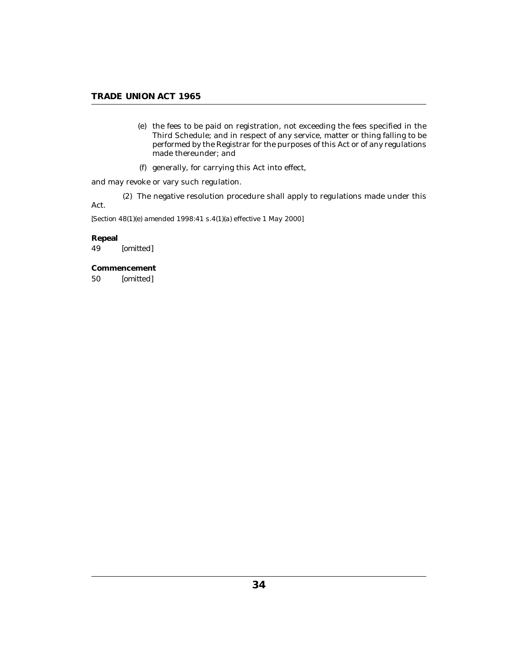- <span id="page-33-0"></span>(e) the fees to be paid on registration, not exceeding the fees specified in the Third Schedule; and in respect of any service, matter or thing falling to be performed by the Registrar for the purposes of this Act or of any regulations made thereunder; and
- generally, for carrying this Act into effect, (f)

and may revoke or vary such regulation.

The negative resolution procedure shall apply to regulations made under this (2) Act.

*[Section 48(1)(e) amended 1998:41 s.4(1)(a) effective 1 May 2000]*

**Repeal** *[omitted]* 49

**Commencement** *[omitted]* 50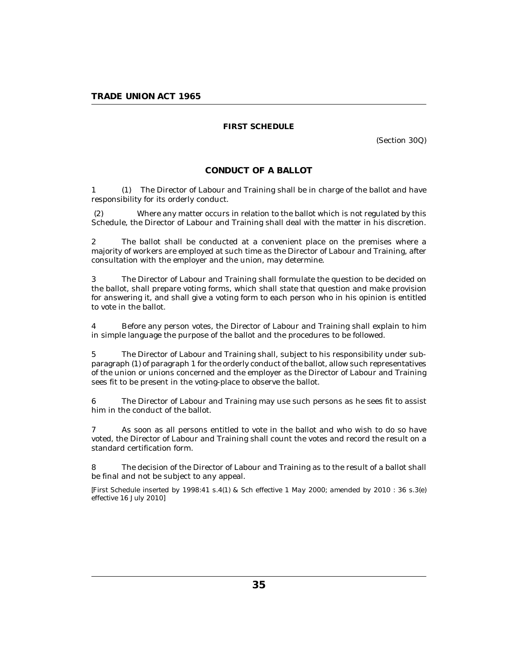# **FIRST SCHEDULE**

(Section 30Q)

## **CONDUCT OF A BALLOT**

<span id="page-34-0"></span>(1) The Director of Labour and Training shall be in charge of the ballot and have responsibility for its orderly conduct. 1

Where any matter occurs in relation to the ballot which is not regulated by this Schedule, the Director of Labour and Training shall deal with the matter in his discretion. (2)

The ballot shall be conducted at a convenient place on the premises where a majority of workers are employed at such time as the Director of Labour and Training, after consultation with the employer and the union, may determine. 2

The Director of Labour and Training shall formulate the question to be decided on the ballot, shall prepare voting forms, which shall state that question and make provision for answering it, and shall give a voting form to each person who in his opinion is entitled to vote in the ballot. 3

Before any person votes, the Director of Labour and Training shall explain to him in simple language the purpose of the ballot and the procedures to be followed. 4

The Director of Labour and Training shall, subject to his responsibility under subparagraph (1) of paragraph 1 for the orderly conduct of the ballot, allow such representatives of the union or unions concerned and the employer as the Director of Labour and Training sees fit to be present in the voting-place to observe the ballot. 5

The Director of Labour and Training may use such persons as he sees fit to assist him in the conduct of the ballot. 6

As soon as all persons entitled to vote in the ballot and who wish to do so have voted, the Director of Labour and Training shall count the votes and record the result on a standard certification form. 7

The decision of the Director of Labour and Training as to the result of a ballot shall be final and not be subject to any appeal. 8

*[First Schedule inserted by 1998:41 s.4(1) & Sch effective 1 May 2000; amended by 2010 : 36 s.3(e) effective 16 July 2010]*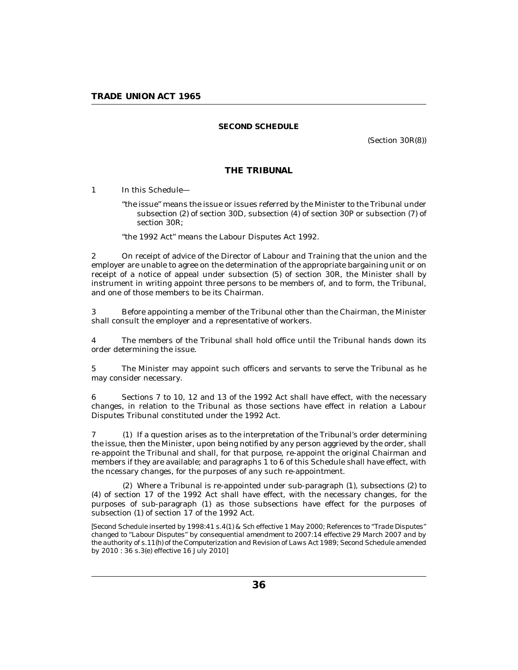# **SECOND SCHEDULE**

(Section 30R(8))

# **THE TRIBUNAL**

<span id="page-35-0"></span>In this Schedule— 1

> "the issue" means the issue or issues referred by the Minister to the Tribunal under subsection (2) of section 30D, subsection (4) of section 30P or subsection (7) of section 30R;

"the 1992 Act" means the Labour Disputes Act 1992.

On receipt of advice of the Director of Labour and Training that the union and the employer are unable to agree on the determination of the appropriate bargaining unit or on receipt of a notice of appeal under subsection (5) of section 30R, the Minister shall by instrument in writing appoint three persons to be members of, and to form, the Tribunal, and one of those members to be its Chairman. 2

Before appointing a member of the Tribunal other than the Chairman, the Minister shall consult the employer and a representative of workers. 3

The members of the Tribunal shall hold office until the Tribunal hands down its order determining the issue. 4

The Minister may appoint such officers and servants to serve the Tribunal as he may consider necessary. 5

Sections 7 to 10, 12 and 13 of the 1992 Act shall have effect, with the necessary changes, in relation to the Tribunal as those sections have effect in relation a Labour Disputes Tribunal constituted under the 1992 Act. 6

7 (1) If a question arises as to the interpretation of the Tribunal's order determining the issue, then the Minister, upon being notified by any person aggrieved by the order, shall re-appoint the Tribunal and shall, for that purpose, re-appoint the original Chairman and members if they are available; and paragraphs 1 to 6 of this Schedule shall have effect, with the ncessary changes, for the purposes of any such re-appointment.

Where a Tribunal is re-appointed under sub-paragraph (1), subsections (2) to (2) (4) of section 17 of the 1992 Act shall have effect, with the necessary changes, for the purposes of sub-paragraph (1) as those subsections have effect for the purposes of subsection (1) of section 17 of the 1992 Act.

*[Second Schedule inserted by 1998:41 s.4(1) & Sch effective 1 May 2000; References to "Trade Disputes" changed to "Labour Disputes" by consequential amendment to 2007:14 effective 29 March 2007 and by the authority of s.11(h) of the Computerization and Revision of Laws Act 1989; Second Schedule amended by 2010 : 36 s.3(e) effective 16 July 2010]*